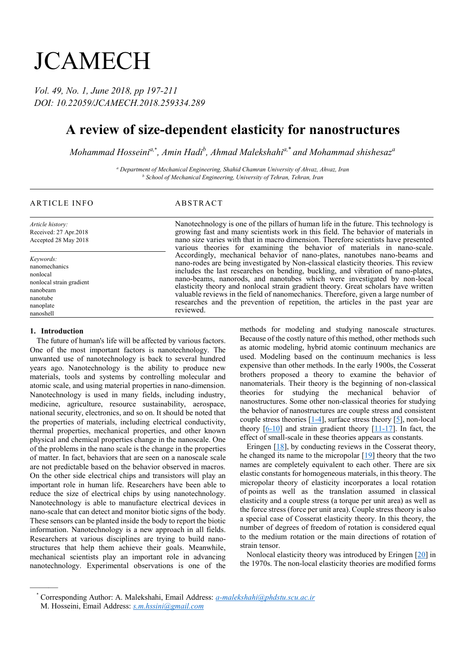# **JCAMECH**

*Vol. 49, No. 1, June 2018, pp 197-211 DOI: 10.22059/JCAMECH.2018.259334.289*

## **A review of size-dependent elasticity for nanostructures**

*Mohammad Hosseinia,*\* *, Amin Hadi<sup>b</sup> , Ahmad Malekshahia,*\* *and Mohammad shishesaz<sup>a</sup>*

*<sup>a</sup> Department of Mechanical Engineering, Shahid Chamran University of Ahvaz, Ahvaz, Iran <sup>b</sup> School of Mechanical Engineering, University of Tehran, Tehran, Iran*

### ARTICLE INFO ABSTRACT

*Article history:* Received: 27 Apr.2018 Accepted 28 May 2018

*Keywords:* nanomechanics nonlocal nonlocal strain gradient nanobeam nanotube nanoplate nanoshell

#### **1. Introduction**

———

The future of human's life will be affected by various factors. One of the most important factors is nanotechnology. The unwanted use of nanotechnology is back to several hundred years ago. Nanotechnology is the ability to produce new materials, tools and systems by controlling molecular and atomic scale, and using material properties in nano-dimension. Nanotechnology is used in many fields, including industry, medicine, agriculture, resource sustainability, aerospace, national security, electronics, and so on. It should be noted that the properties of materials, including electrical conductivity, thermal properties, mechanical properties, and other known physical and chemical properties change in the nanoscale. One of the problems in the nano scale is the change in the properties of matter. In fact, behaviors that are seen on a nanoscale scale are not predictable based on the behavior observed in macros. On the other side electrical chips and transistors will play an important role in human life. Researchers have been able to reduce the size of electrical chips by using nanotechnology. Nanotechnology is able to manufacture electrical devices in nano-scale that can detect and monitor biotic signs of the body. These sensors can be planted inside the body to report the biotic information. Nanotechnology is a new approach in all fields. Researchers at various disciplines are trying to build nanostructures that help them achieve their goals. Meanwhile, mechanical scientists play an important role in advancing nanotechnology. Experimental observations is one of the

Nanotechnology is one of the pillars of human life in the future. This technology is growing fast and many scientists work in this field. The behavior of materials in nano size varies with that in macro dimension. Therefore scientists have presented various theories for examining the behavior of materials in nano-scale. Accordingly, mechanical behavior of nano-plates, nanotubes nano-beams and nano-rodes are being investigated by Non-classical elasticity theories. This review includes the last researches on bending, buckling, and vibration of nano-plates, nano-beams, nanorods, and nanotubes which were investigated by non-local elasticity theory and nonlocal strain gradient theory. Great scholars have written valuable reviews in the field of nanomechanics. Therefore, given a large number of researches and the prevention of repetition, the articles in the past year are reviewed.

> methods for modeling and studying nanoscale structures. Because of the costly nature of this method, other methods such as atomic modeling, hybrid atomic continuum mechanics are used. Modeling based on the continuum mechanics is less expensive than other methods. In the early 1900s, the Cosserat brothers proposed a theory to examine the behavior of nanomaterials. Their theory is the beginning of non-classical theories for studying the mechanical behavior of nanostructures. Some other non-classical theories for studying the behavior of nanostructures are couple stress and consistent couple stress theories  $[1-4]$ , surface stress theory  $[5]$ , non-local theory  $[6-10]$  and strain gradient theory  $[11-17]$ . In fact, the effect of small-scale in these theories appears as constants.

> Eringen  $[18]$ , by conducting reviews in the Cosserat theory, he changed its name to the micropolar  $[19]$  theory that the two names are completely equivalent to each other. There are six elastic constants for homogeneous materials, in this theory. The micropolar theory of elasticity incorporates a local rotation of points as well as the translation assumed in classical elasticity and a couple stress (a torque per unit area) as well as the force stress (force per unit area). Couple stress theory is also a special case of Cosserat elasticity theory. In this theory, the number of degrees of freedom of rotation is considered equal to the medium rotation or the main directions of rotation of strain tensor.

> Nonlocal elasticity theory was introduced by Eringen [\[20\]](#page-9-6) in the 1970s. The non-local elasticity theories are modified forms

<sup>\*</sup> Corresponding Author: A. Malekshahi, Email Address: *a-malekshahi@phdstu.scu.ac.ir* M. Hosseini, Email Address: *s.m.hssini@gmail.com*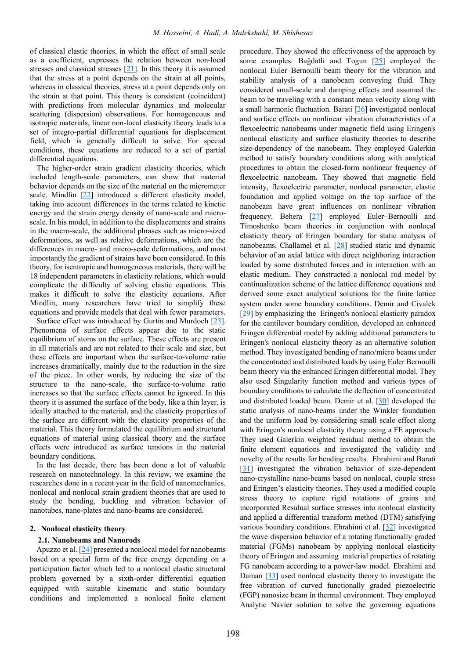of classical elastic theories, in which the effect of small scale as a coefficient, expresses the relation between non-local stresses and classical stresses [\[21\]](#page-9-7). In this theory it is assumed that the stress at a point depends on the strain at all points, whereas in classical theories, stress at a point depends only on the strain at that point. This theory is consistent (coincident) with predictions from molecular dynamics and molecular scattering (dispersion) observations. For homogeneous and isotropic materials, linear non-local elasticity theory leads to a set of integro-partial differential equations for displacement field, which is generally difficult to solve. For special conditions, these equations are reduced to a set of partial differential equations.

The higher-order strain gradient elasticity theories, which included length-scale parameters, can show that material behavior depends on the size of the material on the micrometer scale. Mindlin [\[22\]](#page-9-8) introduced a different elasticity model, taking into account differences in the terms related to kinetic energy and the strain energy density of nano-scale and microscale. In his model, in addition to the displacements and strains in the macro-scale, the additional phrases such as micro-sized deformations, as well as relative deformations, which are the differences in macro- and micro-scale deformations, and most importantly the gradient of strains have been considered. In this theory, for isentropic and homogeneous materials, there will be 18 independent parameters in elasticity relations, which would complicate the difficulty of solving elastic equations. This makes it difficult to solve the elasticity equations. After Mindlin, many researchers have tried to simplify these equations and provide models that deal with fewer parameters.

Surface effect was introduced by Gurtin and Murdoch [\[23\]](#page-9-9). Phenomena of surface effects appear due to the static equilibrium of atoms on the surface. These effects are present in all materials and are not related to their scale and size, but these effects are important when the surface-to-volume ratio increases dramatically, mainly due to the reduction in the size of the piece. In other words, by reducing the size of the structure to the nano-scale, the surface-to-volume ratio increases so that the surface effects cannot be ignored. In this theory it is assumed the surface of the body, like a thin layer, is ideally attached to the material, and the elasticity properties of the surface are different with the elasticity properties of the material. This theory formulated the equilibrium and structural equations of material using classical theory and the surface effects were introduced as surface tensions in the material boundary conditions.

In the last decade, there has been done a lot of valuable research on nanotechnology. In this review, we examine the researches done in a recent year in the field of nanomechanics. nonlocal and nonlocal strain gradient theories that are used to study the bending, buckling and vibration behavior of nanotubes, nano-plates and nano-beams are considered.

#### **2. Nonlocal elasticity theory**

#### **2.1. Nanobeams and Nanorods**

Apuzzo et al.  $[24]$  presented a nonlocal model for nanobeams based on a special form of the free energy depending on a participation factor which led to a nonlocal elastic structural problem governed by a sixth-order differential equation equipped with suitable kinematic and static boundary conditions and implemented a nonlocal finite element

procedure. They showed the effectiveness of the approach by some examples. Bağdatli and Togun [\[25\]](#page-9-11) employed the nonlocal Euler–Bernoulli beam theory for the vibration and stability analysis of a nanobeam conveying fluid. They considered small-scale and damping effects and assumed the beam to be traveling with a constant mean velocity along with a small harmonic fluctuation. Barati [\[26\]](#page-9-12) investigated nonlocal and surface effects on nonlinear vibration characteristics of a flexoelectric nanobeams under magnetic field using Eringen's nonlocal elasticity and surface elasticity theories to describe size-dependency of the nanobeam. They employed Galerkin method to satisfy boundary conditions along with analytical procedures to obtain the closed-form nonlinear frequency of flexoelectric nanobeam. They showed that magnetic field intensity, flexoelectric parameter, nonlocal parameter, elastic foundation and applied voltage on the top surface of the nanobeam have great influences on nonlinear vibration frequency. Behera [\[27\]](#page-9-13) employed Euler–Bernoulli and Timoshenko beam theories in conjunction with nonlocal elasticity theory of Eringen boundary for static analysis of nanobeams. Challamel et al. [\[28\]](#page-9-14) studied static and dynamic behavior of an axial lattice with direct neighboring interaction loaded by some distributed forces and in interaction with an elastic medium. They constructed a nonlocal rod model by continualization scheme of the lattice difference equations and derived some exact analytical solutions for the finite lattice system under some boundary conditions. Demir and Civalek [\[29\]](#page-10-0) by emphasizing the Eringen's nonlocal elasticity paradox for the cantilever boundary condition, developed an enhanced Eringen differential model by adding additional parameters to Eringen's nonlocal elasticity theory as an alternative solution method. They investigated bending of nano/micro beams under the concentrated and distributed loads by using Euler Bernoulli beam theory via the enhanced Eringen differential model. They also used Singularity function method and various types of boundary conditions to calculate the deflection of concentrated and distributed loaded beam. Demir et al. [\[30\]](#page-10-1) developed the static analysis of nano-beams under the Winkler foundation and the uniform load by considering small scale effect along with Eringen's nonlocal elasticity theory using a FE approach. They used Galerkin weighted residual method to obtain the finite element equations and investigated the validity and novelty of the results for bending results. Ebrahimi and Barati [\[31\]](#page-10-2) investigated the vibration behavior of size-dependent nano-crystalline nano-beams based on nonlocal, couple stress and Eringen's elasticity theories. They used a modified couple stress theory to capture rigid rotations of grains and incorporated Residual surface stresses into nonlocal elasticity and applied a differential transform method (DTM) satisfying various boundary conditions. Ebrahimi et al. [\[32\]](#page-10-3) investigated the wave dispersion behavior of a rotating functionally graded material (FGMs) nanobeam by applying nonlocal elasticity theory of Eringen and assuming material properties of rotating FG nanobeam according to a power-law model. Ebrahimi and Daman [\[33\]](#page-10-4) used nonlocal elasticity theory to investigate the free vibration of curved functionally graded piezoelectric (FGP) nanosize beam in thermal environment. They employed Analytic Navier solution to solve the governing equations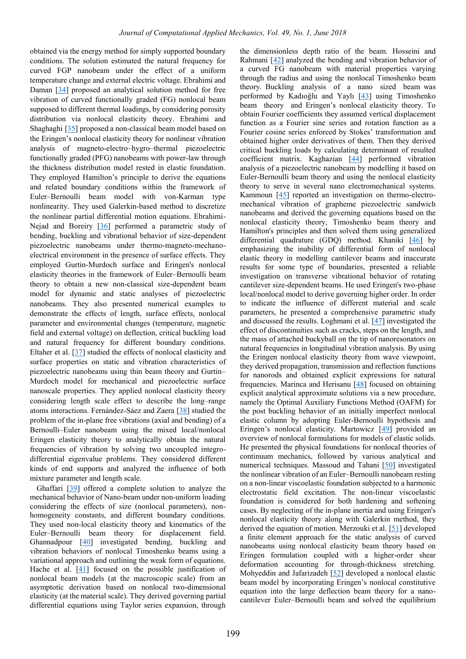obtained via the energy method for simply supported boundary conditions. The solution estimated the natural frequency for curved FGP nanobeam under the effect of a uniform temperature change and external electric voltage. Ebrahimi and Daman [\[34\]](#page-10-5) proposed an analytical solution method for free vibration of curved functionally graded (FG) nonlocal beam supposed to different thermal loadings, by considering porosity distribution via nonlocal elasticity theory. Ebrahimi and Shaghaghi [\[35\]](#page-10-6) proposed a non-classical beam model based on the Eringen's nonlocal elasticity theory for nonlinear vibration analysis of magneto-electro–hygro–thermal piezoelectric functionally graded (PFG) nanobeams with power-law through the thickness distribution model rested in elastic foundation. They employed Hamilton's principle to derive the equations and related boundary conditions within the framework of Euler–Bernoulli beam model with von-Karman type nonlinearity. They used Galerkin-based method to discretize the nonlinear partial differential motion equations. Ebrahimi-Nejad and Boreiry [\[36\]](#page-10-7) performed a parametric study of bending, buckling and vibrational behavior of size-dependent piezoelectric nanobeams under thermo-magneto-mechanoelectrical environment in the presence of surface effects. They employed Gurtin-Murdoch surface and Eringen's nonlocal elasticity theories in the framework of Euler–Bernoulli beam theory to obtain a new non-classical size-dependent beam model for dynamic and static analyses of piezoelectric nanobeams. They also presented numerical examples to demonstrate the effects of length, surface effects, nonlocal parameter and environmental changes (temperature, magnetic field and external voltage) on deflection, critical buckling load and natural frequency for different boundary conditions. Eltaher et al. [\[37\]](#page-10-8) studied the effects of nonlocal elasticity and surface properties on static and vibration characteristics of piezoelectric nanobeams using thin beam theory and Gurtin– Murdoch model for mechanical and piezoelectric surface nanoscale properties. They applied nonlocal elasticity theory considering length scale effect to describe the long–range atoms interactions. Fernández-Sáez and Zaera [\[38\]](#page-10-9) studied the problem of the in-plane free vibrations (axial and bending) of a Bernoulli–Euler nanobeam using the mixed local/nonlocal Eringen elasticity theory to analytically obtain the natural frequencies of vibration by solving two uncoupled integrodifferential eigenvalue problems. They considered different kinds of end supports and analyzed the influence of both mixture parameter and length scale.

Ghaffari [\[39\]](#page-10-10) offered a complete solution to analyze the mechanical behavior of Nano-beam under non-uniform loading considering the effects of size (nonlocal parameters), nonhomogeneity constants, and different boundary conditions. They used non-local elasticity theory and kinematics of the Euler–Bernoulli beam theory for displacement field. Ghannadpour [\[40\]](#page-10-11) investigated bending, buckling and vibration behaviors of nonlocal Timoshenko beams using a variational approach and outlining the weak form of equations. Hache et al. [\[41\]](#page-10-12) focused on the possible justification of nonlocal beam models (at the macroscopic scale) from an asymptotic derivation based on nonlocal two-dimensional elasticity (at the material scale). They derived governing partial differential equations using Taylor series expansion, through

the dimensionless depth ratio of the beam. Hosseini and Rahmani [\[42\]](#page-10-13) analyzed the bending and vibration behavior of a curved FG nanobeam with material properties varying through the radius and using the nonlocal Timoshenko beam theory. Buckling analysis of a nano sized beam was performed by Kadıoğlu and Yaylı [\[43\]](#page-10-14) using Timoshenko beam theory and Eringen's nonlocal elasticity theory. To obtain Fourier coefficients they assumed vertical displacement function as a Fourier sine series and rotation function as a Fourier cosine series enforced by Stokes' transformation and obtained higher order derivatives of them. Then they derived critical buckling loads by calculating determinant of resulted coefficient matrix. Kaghazian [\[44\]](#page-10-15) performed vibration analysis of a piezoelectric nanobeam by modelling it based on Euler-Bernoulli beam theory and using the nonlocal elasticity theory to serve in several nano electromechanical systems. Kammoun [\[45\]](#page-10-16) reported an investigation on thermo-electromechanical vibration of grapheme piezoelectric sandwich nanobeams and derived the governing equations based on the nonlocal elasticity theory, Timoshenko beam theory and Hamilton's principles and then solved them using generalized differential quadrature (GDQ) method. Khaniki [\[46\]](#page-10-17) by emphasizing the inability of differential form of nonlocal elastic theory in modelling cantilever beams and inaccurate results for some type of boundaries, presented a reliable investigation on transverse vibrational behavior of rotating cantilever size-dependent beams. He used Eringen's two-phase local/nonlocal model to derive governing higher order. In order to indicate the influence of different material and scale parameters, he presented a comprehensive parametric study and discussed the results. Loghmani et al. [\[47\]](#page-10-18) investigated the effect of discontinuities such as cracks, steps on the length, and the mass of attached buckyball on the tip of nanoresonators on natural frequencies in longitudinal vibration analysis. By using the Eringen nonlocal elasticity theory from wave viewpoint, they derived propagation, transmission and reflection functions for nanorods and obtained explicit expressions for natural frequencies. Marinca and Herisanu [\[48\]](#page-10-19) focused on obtaining explicit analytical approximate solutions via a new procedure, namely the Optimal Auxiliary Functions Method (OAFM) for the post buckling behavior of an initially imperfect nonlocal elastic column by adopting Euler-Bernoulli hypothesis and Eringen's nonlocal elasticity. Martowicz [\[49\]](#page-10-20) provided an overview of nonlocal formulations for models of elastic solids. He presented the physical foundations for nonlocal theories of continuum mechanics, followed by various analytical and numerical techniques. Massoud and Tahani [\[50\]](#page-10-21) investigated the nonlinear vibration of an Euler–Bernoulli nanobeam resting on a non-linear viscoelastic foundation subjected to a harmonic electrostatic field excitation. The non-linear viscoelastic foundation is considered for both hardening and softening cases. By neglecting of the in-plane inertia and using Eringen's nonlocal elasticity theory along with Galerkin method, they derived the equation of motion. Merzouki et al. [\[51\]](#page-10-22) developed a finite element approach for the static analysis of curved nanobeams using nonlocal elasticity beam theory based on Eringen formulation coupled with a higher-order shear deformation accounting for through-thickness stretching. Mohyeddin and Jafarizadeh [\[52\]](#page-10-23) developed a nonlocal elastic beam model by incorporating Eringen's nonlocal constitutive equation into the large deflection beam theory for a nanocantilever Euler–Bernoulli beam and solved the equilibrium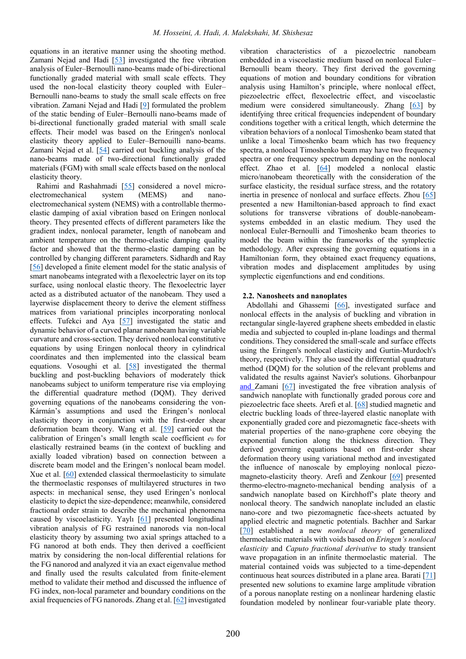equations in an iterative manner using the shooting method. Zamani Nejad and Hadi [\[53\]](#page-10-24) investigated the free vibration analysis of Euler–Bernoulli nano-beams made of bi-directional functionally graded material with small scale effects. They used the non-local elasticity theory coupled with Euler– Bernoulli nano-beams to study the small scale effects on free vibration. Zamani Nejad and Hadi [\[9\]](#page-9-15) formulated the problem of the static bending of Euler–Bernoulli nano-beams made of bi-directional functionally graded material with small scale effects. Their model was based on the Eringen's nonlocal elasticity theory applied to Euler–Bernouilli nano-beams. Zamani Nejad et al. [\[54\]](#page-10-25) carried out buckling analysis of the nano-beams made of two-directional functionally graded materials (FGM) with small scale effects based on the nonlocal elasticity theory.

Rahimi and Rashahmadi [\[55\]](#page-10-26) considered a novel microelectromechanical system (MEMS) and nanoelectromechanical system (NEMS) with a controllable thermoelastic damping of axial vibration based on Eringen nonlocal theory. They presented effects of different parameters like the gradient index, nonlocal parameter, length of nanobeam and ambient temperature on the thermo-elastic damping quality factor and showed that the thermo-elastic damping can be controlled by changing different parameters. Sidhardh and Ray [\[56\]](#page-10-27) developed a finite element model for the static analysis of smart nanobeams integrated with a flexoelectric layer on its top surface, using nonlocal elastic theory. The flexoelectric layer acted as a distributed actuator of the nanobeam. They used a layerwise displacement theory to derive the element stiffness matrices from variational principles incorporating nonlocal effects. Tufekci and Aya [\[57\]](#page-10-28) investigated the static and dynamic behavior of a curved planar nanobeam having variable curvature and cross-section. They derived nonlocal constitutive equations by using Eringen nonlocal theory in cylindrical coordinates and then implemented into the classical beam equations. Vosoughi et al. [\[58\]](#page-11-0) investigated the thermal buckling and post-buckling behaviors of moderately thick nanobeams subject to uniform temperature rise via employing the differential quadrature method (DQM). They derived governing equations of the nanobeams considering the von-Kármán's assumptions and used the Eringen's nonlocal elasticity theory in conjunction with the first-order shear deformation beam theory. Wang et al. [\[59\]](#page-11-1) carried out the calibration of Eringen's small length scale coefficient  $e_0$  for elastically restrained beams (in the context of buckling and axially loaded vibration) based on connection between a discrete beam model and the Eringen's nonlocal beam model. Xue et al. [\[60\]](#page-11-2) extended classical thermoelasticity to simulate the thermoelastic responses of multilayered structures in two aspects: in mechanical sense, they used Eringen's nonlocal elasticity to depict the size-dependence; meanwhile, considered fractional order strain to describe the mechanical phenomena caused by viscoelasticity. Yaylı [\[61\]](#page-11-3) presented longitudinal vibration analysis of FG restrained nanorods via non-local elasticity theory by assuming two axial springs attached to a FG nanorod at both ends. They then derived a coefficient matrix by considering the non-local differential relations for the FG nanorod and analyzed it via an exact eigenvalue method and finally used the results calculated from finite-element method to validate their method and discussed the influence of FG index, non-local parameter and boundary conditions on the axial frequencies of FG nanorods. Zhang et al. [\[62\]](#page-11-4) investigated

vibration characteristics of a piezoelectric nanobeam embedded in a viscoelastic medium based on nonlocal Euler– Bernoulli beam theory. They first derived the governing equations of motion and boundary conditions for vibration analysis using Hamilton's principle, where nonlocal effect, piezoelectric effect, flexoelectric effect, and viscoelastic medium were considered simultaneously. Zhang [\[63\]](#page-11-5) by identifying three critical frequencies independent of boundary conditions together with a critical length, which determine the vibration behaviors of a nonlocal Timoshenko beam stated that unlike a local Timoshenko beam which has two frequency spectra, a nonlocal Timoshenko beam may have two frequency spectra or one frequency spectrum depending on the nonlocal effect. Zhao et al. [\[64\]](#page-11-6) modeled a nonlocal elastic micro/nanobeam theoretically with the consideration of the surface elasticity, the residual surface stress, and the rotatory inertia in presence of nonlocal and surface effects. Zhou [\[65\]](#page-11-7) presented a new Hamiltonian-based approach to find exact solutions for transverse vibrations of double-nanobeamsystems embedded in an elastic medium. They used the nonlocal Euler-Bernoulli and Timoshenko beam theories to model the beam within the frameworks of the symplectic methodology. After expressing the governing equations in a Hamiltonian form, they obtained exact frequency equations, vibration modes and displacement amplitudes by using symplectic eigenfunctions and end conditions.

#### **2.2. Nanosheets and nanoplates**

Abdollahi and Ghassemi [\[66\]](#page-11-8), investigated surface and nonlocal effects in the analysis of buckling and vibration in rectangular single-layered graphene sheets embedded in elastic media and subjected to coupled in-plane loadings and thermal conditions. They considered the small-scale and surface effects using the Eringen's nonlocal elasticity and Gurtin-Murdoch's theory, respectively. They also used the differential quadrature method (DQM) for the solution of the relevant problems and validated the results against Navier's solutions. Ghorbanpour and Zamani [\[67\]](#page-11-9) investigated the free vibration analysis of sandwich nanoplate with functionally graded porous core and piezoelectric face sheets. Arefi et al. [\[68\]](#page-11-10) studied magnetic and electric buckling loads of three-layered elastic nanoplate with exponentially graded core and piezomagnetic face-sheets with material properties of the nano-graphene core obeying the exponential function along the thickness direction. They derived governing equations based on first-order shear deformation theory using variational method and investigated the influence of nanoscale by employing nonlocal piezomagneto-elasticity theory. Arefi and Zenkour [\[69\]](#page-11-11) presented thermo-electro-magneto-mechanical bending analysis of a sandwich nanoplate based on Kirchhoff's plate theory and nonlocal theory. The sandwich nanoplate included an elastic nano-core and two piezomagnetic face-sheets actuated by applied electric and magnetic potentials. Bachher and Sarkar [\[70\]](#page-11-12) established a new *nonlocal theory* of generalized thermoelastic materials with voids based on *Eringen's nonlocal elasticity* and *Caputo fractional derivative* to study transient wave propagation in an infinite thermoelastic material. The material contained voids was subjected to a time-dependent continuous heat sources distributed in a plane area. Barati [\[71\]](#page-11-13) presented new solutions to examine large amplitude vibration of a porous nanoplate resting on a nonlinear hardening elastic foundation modeled by nonlinear four-variable plate theory.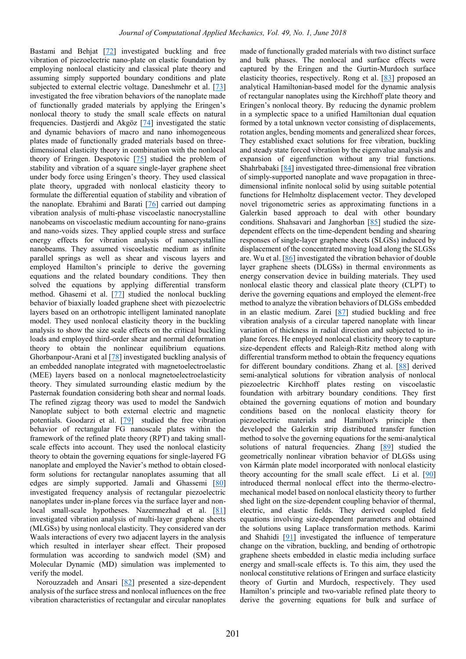Bastami and Behjat [\[72\]](#page-11-14) investigated buckling and free vibration of piezoelectric nano-plate on elastic foundation by employing nonlocal elasticity and classical plate theory and assuming simply supported boundary conditions and plate subjected to external electric voltage. Daneshmehr et al. [\[73\]](#page-11-15) investigated the free vibration behaviors of the nanoplate made of functionally graded materials by applying the Eringen's nonlocal theory to study the small scale effects on natural frequencies. Dastjerdi and Akgöz [\[74\]](#page-11-16) investigated the static and dynamic behaviors of macro and nano inhomogeneous plates made of functionally graded materials based on threedimensional elasticity theory in combination with the nonlocal theory of Eringen. Despotovic [\[75\]](#page-11-17) studied the problem of stability and vibration of a square single-layer graphene sheet under body force using Eringen's theory. They used classical plate theory, upgraded with nonlocal elasticity theory to formulate the differential equation of stability and vibration of the nanoplate. Ebrahimi and Barati [\[76\]](#page-11-18) carried out damping vibration analysis of multi-phase viscoelastic nanocrystalline nanobeams on viscoelastic medium accounting for nano-grains and nano-voids sizes. They applied couple stress and surface energy effects for vibration analysis of nanocrystalline nanobeams. They assumed viscoelastic medium as infinite parallel springs as well as shear and viscous layers and employed Hamilton's principle to derive the governing equations and the related boundary conditions. They then solved the equations by applying differential transform method. Ghasemi et al. [\[77\]](#page-11-19) studied the nonlocal buckling behavior of biaxially loaded graphene sheet with piezoelectric layers based on an orthotropic intelligent laminated nanoplate model. They used nonlocal elasticity theory in the buckling analysis to show the size scale effects on the critical buckling loads and employed third-order shear and normal deformation theory to obtain the nonlinear equilibrium equations. Ghorbanpour-Arani et al [\[78\]](#page-11-20) investigated buckling analysis of an embedded nanoplate integrated with magnetoelectroelastic (MEE) layers based on a nonlocal magnetoelectroelasticity theory. They simulated surrounding elastic medium by the Pasternak foundation considering both shear and normal loads. The refined zigzag theory was used to model the Sandwich Nanoplate subject to both external electric and magnetic potentials. Goodarzi et al. [\[79\]](#page-11-21) studied the free vibration behavior of rectangular FG nanoscale plates within the framework of the refined plate theory (RPT) and taking smallscale effects into account. They used the nonlocal elasticity theory to obtain the governing equations for single-layered FG nanoplate and employed the Navier's method to obtain closedform solutions for rectangular nanoplates assuming that all edges are simply supported. Jamali and Ghassemi [\[80\]](#page-11-22) investigated frequency analysis of rectangular piezoelectric nanoplates under in-plane forces via the surface layer and non-local small-scale hypotheses. Nazemnezhad et al. [\[81\]](#page-11-23) investigated vibration analysis of multi-layer graphene sheets (MLGSs) by using nonlocal elasticity. They considered van der Waals interactions of every two adjacent layers in the analysis which resulted in interlayer shear effect. Their proposed formulation was according to sandwich model (SM) and Molecular Dynamic (MD) simulation was implemented to verify the model.

Norouzzadeh and Ansari [\[82\]](#page-11-24) presented a size-dependent analysis of the surface stress and nonlocal influences on the free vibration characteristics of rectangular and circular nanoplates

made of functionally graded materials with two distinct surface and bulk phases. The nonlocal and surface effects were captured by the Eringen and the Gurtin-Murdoch surface elasticity theories, respectively. Rong et al. [\[83\]](#page-11-25) proposed an analytical Hamiltonian-based model for the dynamic analysis of rectangular nanoplates using the Kirchhoff plate theory and Eringen's nonlocal theory. By reducing the dynamic problem in a symplectic space to a unified Hamiltonian dual equation formed by a total unknown vector consisting of displacements, rotation angles, bending moments and generalized shear forces, They established exact solutions for free vibration, buckling and steady state forced vibration by the eigenvalue analysis and expansion of eigenfunction without any trial functions. Shahrbabaki [\[84\]](#page-12-0) investigated three-dimensional free vibration of simply-supported nanoplate and wave propagation in threedimensional infinite nonlocal solid by using suitable potential functions for Helmholtz displacement vector. They developed novel trigonometric series as approximating functions in a Galerkin based approach to deal with other boundary conditions. Shahsavari and Janghorban [\[85\]](#page-12-1) studied the sizedependent effects on the time-dependent bending and shearing responses of single-layer graphene sheets (SLGSs) induced by displacement of the concentrated moving load along the SLGSs are. Wu et al. [\[86\]](#page-12-2) investigated the vibration behavior of double layer graphene sheets (DLGSs) in thermal environments as energy conservation device in building materials. They used nonlocal elastic theory and classical plate theory (CLPT) to derive the governing equations and employed the element-free method to analyze the vibration behaviors of DLGSs embedded in an elastic medium. Zarei [\[87\]](#page-12-3) studied buckling and free vibration analysis of a circular tapered nanoplate with linear variation of thickness in radial direction and subjected to inplane forces. He employed nonlocal elasticity theory to capture size-dependent effects and Raleigh-Ritz method along with differential transform method to obtain the frequency equations for different boundary conditions. Zhang et al. [\[88\]](#page-12-4) derived semi-analytical solutions for vibration analysis of nonlocal piezoelectric Kirchhoff plates resting on viscoelastic foundation with arbitrary boundary conditions. They first obtained the governing equations of motion and boundary conditions based on the nonlocal elasticity theory for piezoelectric materials and Hamilton's principle then developed the Galerkin strip distributed transfer function method to solve the governing equations for the semi-analytical solutions of natural frequencies. Zhang [\[89\]](#page-12-5) studied the geometrically nonlinear vibration behavior of DLGSs using von Kármán plate model incorporated with nonlocal elasticity theory accounting for the small scale effect. Li et al. [\[90\]](#page-12-6) introduced thermal nonlocal effect into the thermo-electromechanical model based on nonlocal elasticity theory to further shed light on the size-dependent coupling behavior of thermal, electric, and elastic fields. They derived coupled field equations involving size-dependent parameters and obtained the solutions using Laplace transformation methods. Karimi and Shahidi [\[91\]](#page-12-7) investigated the influence of temperature change on the vibration, buckling, and bending of orthotropic graphene sheets embedded in elastic media including surface energy and small-scale effects is. To this aim, they used the nonlocal constitutive relations of Eringen and surface elasticity theory of Gurtin and Murdoch, respectively. They used Hamilton's principle and two-variable refined plate theory to derive the governing equations for bulk and surface of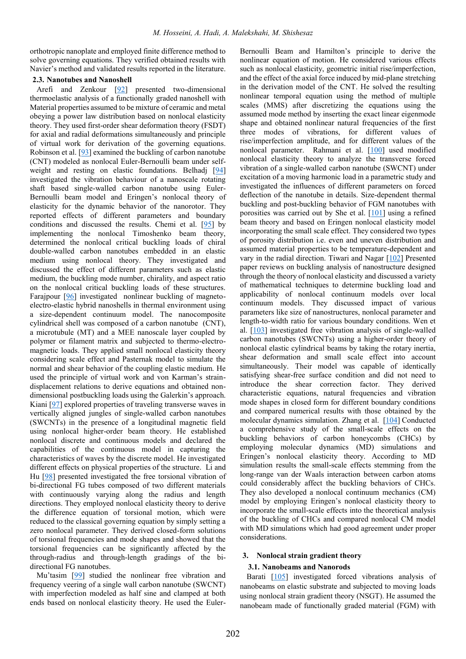orthotropic nanoplate and employed finite difference method to solve governing equations. They verified obtained results with Navier's method and validated results reported in the literature.

#### **2.3. Nanotubes and Nanoshell**

Arefi and Zenkour [\[92\]](#page-12-8) presented two-dimensional thermoelastic analysis of a functionally graded nanoshell with Material properties assumed to be mixture of ceramic and metal obeying a power law distribution based on nonlocal elasticity theory. They used first-order shear deformation theory (FSDT) for axial and radial deformations simultaneously and principle of virtual work for derivation of the governing equations. Robinson et al. [\[93\]](#page-12-9) examined the buckling of carbon nanotube (CNT) modeled as nonlocal Euler-Bernoulli beam under selfweight and resting on elastic foundations. Belhadj [\[94\]](#page-12-10) investigated the vibration behaviour of a nanoscale rotating shaft based single-walled carbon nanotube using Euler-Bernoulli beam model and Eringen's nonlocal theory of elasticity for the dynamic behavior of the nanorotor. They reported effects of different parameters and boundary conditions and discussed the results. Chemi et al. [\[95\]](#page-12-11) by implementing the nonlocal Timoshenko beam theory, determined the nonlocal critical buckling loads of chiral double-walled carbon nanotubes embedded in an elastic medium using nonlocal theory. They investigated and discussed the effect of different parameters such as elastic medium, the buckling mode number, chirality, and aspect ratio on the nonlocal critical buckling loads of these structures. Faraipour [\[96\]](#page-12-12) investigated nonlinear buckling of magnetoelectro-elastic hybrid nanoshells in thermal environment using a size-dependent continuum model. The nanocomposite cylindrical shell was composed of a carbon nanotube (CNT), a microtubule (MT) and a MEE nanoscale layer coupled by polymer or filament matrix and subjected to thermo-electromagnetic loads. They applied small nonlocal elasticity theory considering scale effect and Pasternak model to simulate the normal and shear behavior of the coupling elastic medium. He used the principle of virtual work and von Karman's straindisplacement relations to derive equations and obtained nondimensional postbuckling loads using the Galerkin's approach. Kiani [\[97\]](#page-12-13) explored properties of traveling transverse waves in vertically aligned jungles of single-walled carbon nanotubes (SWCNTs) in the presence of a longitudinal magnetic field using nonlocal higher-order beam theory. He established nonlocal discrete and continuous models and declared the capabilities of the continuous model in capturing the characteristics of waves by the discrete model. He investigated different effects on physical properties of the structure. Li and Hu [\[98\]](#page-12-14) presented investigated the free torsional vibration of bi-directional FG tubes composed of two different materials with continuously varying along the radius and length directions. They employed nonlocal elasticity theory to derive the difference equation of torsional motion, which were reduced to the classical governing equation by simply setting a zero nonlocal parameter. They derived closed-form solutions of torsional frequencies and mode shapes and showed that the torsional frequencies can be significantly affected by the through-radius and through-length gradings of the bidirectional FG nanotubes.

Mu'tasim [\[99\]](#page-12-15) studied the nonlinear free vibration and frequency veering of a single wall carbon nanotube (SWCNT) with imperfection modeled as half sine and clamped at both ends based on nonlocal elasticity theory. He used the Euler-

Bernoulli Beam and Hamilton's principle to derive the nonlinear equation of motion. He considered various effects such as nonlocal elasticity, geometric initial rise/imperfection, and the effect of the axial force induced by mid-plane stretching in the derivation model of the CNT. He solved the resulting nonlinear temporal equation using the method of multiple scales (MMS) after discretizing the equations using the assumed mode method by inserting the exact linear eigenmode shape and obtained nonlinear natural frequencies of the first three modes of vibrations, for different values of rise/imperfection amplitude, and for different values of the nonlocal parameter. Rahmani et al. [\[100\]](#page-12-16) used modified nonlocal elasticity theory to analyze the transverse forced vibration of a single-walled carbon nanotube (SWCNT) under excitation of a moving harmonic load in a parametric study and investigated the influences of different parameters on forced deflection of the nanotube in details. Size-dependent thermal buckling and post-buckling behavior of FGM nanotubes with porosities was carried out by She et al. [\[101\]](#page-12-17) using a refined beam theory and based on Eringen nonlocal elasticity model incorporating the small scale effect. They considered two types of porosity distribution i.e. even and uneven distribution and assumed material properties to be temperature-dependent and vary in the radial direction. Tiwari and Nagar [\[102\]](#page-12-18) Presented paper reviews on buckling analysis of nanostructure designed through the theory of nonlocal elasticity and discussed a variety of mathematical techniques to determine buckling load and applicability of nonlocal continuum models over local continuum models. They discussed impact of various parameters like size of nanostructures, nonlocal parameter and length-to-width ratio for various boundary conditions. Wen et al. [\[103\]](#page-12-19) investigated free vibration analysis of single-walled carbon nanotubes (SWCNTs) using a higher-order theory of nonlocal elastic cylindrical beams by taking the rotary inertia, shear deformation and small scale effect into account simultaneously. Their model was capable of identically satisfying shear-free surface condition and did not need to introduce the shear correction factor. They derived characteristic equations, natural frequencies and vibration mode shapes in closed form for different boundary conditions and compared numerical results with those obtained by the molecular dynamics simulation. Zhang et al. [\[104\]](#page-12-20) Conducted a comprehensive study of the small-scale effects on the buckling behaviors of carbon honeycombs (CHCs) by employing molecular dynamics (MD) simulations and Eringen's nonlocal elasticity theory. According to MD simulation results the small-scale effects stemming from the long-range van der Waals interaction between carbon atoms could considerably affect the buckling behaviors of CHCs. They also developed a nonlocal continuum mechanics (CM) model by employing Eringen's nonlocal elasticity theory to incorporate the small-scale effects into the theoretical analysis of the buckling of CHCs and compared nonlocal CM model with MD simulations which had good agreement under proper considerations.

#### **3. Nonlocal strain gradient theory**

#### **3.1. Nanobeams and Nanorods**

Barati [\[105\]](#page-12-21) investigated forced vibrations analysis of nanobeams on elastic substrate and subjected to moving loads using nonlocal strain gradient theory (NSGT). He assumed the nanobeam made of functionally graded material (FGM) with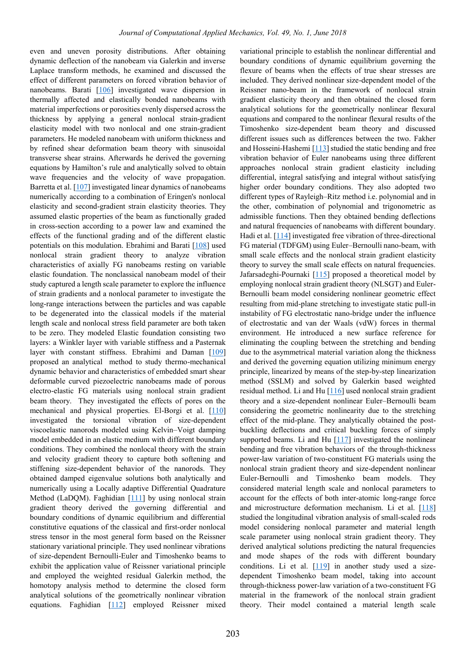even and uneven porosity distributions. After obtaining dynamic deflection of the nanobeam via Galerkin and inverse Laplace transform methods, he examined and discussed the effect of different parameters on forced vibration behavior of nanobeams. Barati [\[106\]](#page-12-22) investigated wave dispersion in thermally affected and elastically bonded nanobeams with material imperfections or porosities evenly dispersed across the thickness by applying a general nonlocal strain-gradient elasticity model with two nonlocal and one strain-gradient parameters. He modeled nanobeam with uniform thickness and by refined shear deformation beam theory with sinusoidal transverse shear strains. Afterwards he derived the governing equations by Hamilton's rule and analytically solved to obtain wave frequencies and the velocity of wave propagation. Barretta et al. [\[107\]](#page-12-23) investigated linear dynamics of nanobeams numerically according to a combination of Eringen's nonlocal elasticity and second-gradient strain elasticity theories. They assumed elastic properties of the beam as functionally graded in cross-section according to a power law and examined the effects of the functional grading and of the different elastic potentials on this modulation. Ebrahimi and Barati [\[108\]](#page-12-24) used nonlocal strain gradient theory to analyze vibration characteristics of axially FG nanobeams resting on variable elastic foundation. The nonclassical nanobeam model of their study captured a length scale parameter to explore the influence of strain gradients and a nonlocal parameter to investigate the long-range interactions between the particles and was capable to be degenerated into the classical models if the material length scale and nonlocal stress field parameter are both taken to be zero. They modeled Elastic foundation consisting two layers: a Winkler layer with variable stiffness and a Pasternak layer with constant stiffness. Ebrahimi and Daman [\[109\]](#page-12-25) proposed an analytical method to study thermo-mechanical dynamic behavior and characteristics of embedded smart shear deformable curved piezoelectric nanobeams made of porous electro-elastic FG materials using nonlocal strain gradient beam theory. They investigated the effects of pores on the mechanical and physical properties. El-Borgi et al. [\[110\]](#page-12-26) investigated the torsional vibration of size-dependent viscoelastic nanorods modeled using Kelvin–Voigt damping model embedded in an elastic medium with different boundary conditions. They combined the nonlocal theory with the strain and velocity gradient theory to capture both softening and stiffening size-dependent behavior of the nanorods. They obtained damped eigenvalue solutions both analytically and numerically using a Locally adaptive Differential Quadrature Method (LaDQM). Faghidian  $[111]$  by using nonlocal strain gradient theory derived the governing differential and boundary conditions of dynamic equilibrium and differential constitutive equations of the classical and first-order nonlocal stress tensor in the most general form based on the Reissner stationary variational principle. They used nonlinear vibrations of size-dependent Bernoulli-Euler and Timoshenko beams to exhibit the application value of Reissner variational principle and employed the weighted residual Galerkin method, the homotopy analysis method to determine the closed form analytical solutions of the geometrically nonlinear vibration equations. Faghidian [\[112\]](#page-13-1) employed Reissner mixed

variational principle to establish the nonlinear differential and boundary conditions of dynamic equilibrium governing the flexure of beams when the effects of true shear stresses are included. They derived nonlinear size-dependent model of the Reissner nano-beam in the framework of nonlocal strain gradient elasticity theory and then obtained the closed form analytical solutions for the geometrically nonlinear flexural equations and compared to the nonlinear flexural results of the Timoshenko size-dependent beam theory and discussed different issues such as differences between the two. Fakher and Hosseini-Hashemi  $[113]$  studied the static bending and free vibration behavior of Euler nanobeams using three different approaches nonlocal strain gradient elasticity including differential, integral satisfying and integral without satisfying higher order boundary conditions. They also adopted two different types of Rayleigh–Ritz method i.e. polynomial and in the other, combination of polynomial and trigonometric as admissible functions. Then they obtained bending deflections and natural frequencies of nanobeams with different boundary. Hadi et al. [\[114\]](#page-13-3) investigated free vibration of three-directional FG material (TDFGM) using Euler–Bernoulli nano-beam, with small scale effects and the nonlocal strain gradient elasticity theory to survey the small scale effects on natural frequencies. Jafarsadeghi-Pournaki [\[115\]](#page-13-4) proposed a theoretical model by employing nonlocal strain gradient theory (NLSGT) and Euler-Bernoulli beam model considering nonlinear geometric effect resulting from mid-plane stretching to investigate static pull-in instability of FG electrostatic nano-bridge under the influence of electrostatic and van der Waals (vdW) forces in thermal environment. He introduced a new surface reference for eliminating the coupling between the stretching and bending due to the asymmetrical material variation along the thickness and derived the governing equation utilizing minimum energy principle, linearized by means of the step-by-step linearization method (SSLM) and solved by Galerkin based weighted residual method. Li and Hu [\[116\]](#page-13-5) used nonlocal strain gradient theory and a size-dependent nonlinear Euler–Bernoulli beam considering the geometric nonlinearity due to the stretching effect of the mid-plane. They analytically obtained the postbuckling deflections and critical buckling forces of simply supported beams. Li and Hu  $[117]$  investigated the nonlinear bending and free vibration behaviors of the through-thickness power-law variation of two-constituent FG materials using the nonlocal strain gradient theory and size-dependent nonlinear Euler-Bernoulli and Timoshenko beam models. They considered material length scale and nonlocal parameters to account for the effects of both inter-atomic long-range force and microstructure deformation mechanism. Li et al. [\[118\]](#page-13-7) studied the longitudinal vibration analysis of small-scaled rods model considering nonlocal parameter and material length scale parameter using nonlocal strain gradient theory. They derived analytical solutions predicting the natural frequencies and mode shapes of the rods with different boundary conditions. Li et al.  $[119]$  in another study used a sizedependent Timoshenko beam model, taking into account through-thickness power-law variation of a two-constituent FG material in the framework of the nonlocal strain gradient theory. Their model contained a material length scale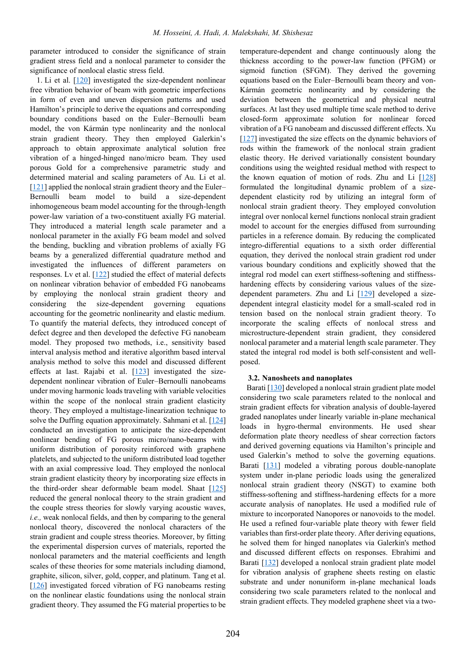parameter introduced to consider the significance of strain gradient stress field and a nonlocal parameter to consider the significance of nonlocal elastic stress field.

1. Li et al.  $[120]$  investigated the size-dependent nonlinear free vibration behavior of beam with geometric imperfections in form of even and uneven dispersion patterns and used Hamilton's principle to derive the equations and corresponding boundary conditions based on the Euler–Bernoulli beam model, the von Kármán type nonlinearity and the nonlocal strain gradient theory. They then employed Galerkin's approach to obtain approximate analytical solution free vibration of a hinged-hinged nano/micro beam. They used porous Gold for a comprehensive parametric study and determined material and scaling parameters of Au. Li et al. [\[121\]](#page-13-10) applied the nonlocal strain gradient theory and the Euler– Bernoulli beam model to build a size-dependent inhomogeneous beam model accounting for the through-length power-law variation of a two-constituent axially FG material. They introduced a material length scale parameter and a nonlocal parameter in the axially FG beam model and solved the bending, buckling and vibration problems of axially FG beams by a generalized differential quadrature method and investigated the influences of different parameters on responses. Lv et al. [\[122\]](#page-13-11) studied the effect of material defects on nonlinear vibration behavior of embedded FG nanobeams by employing the nonlocal strain gradient theory and considering the size-dependent governing equations accounting for the geometric nonlinearity and elastic medium. To quantify the material defects, they introduced concept of defect degree and then developed the defective FG nanobeam model. They proposed two methods, i.e., sensitivity based interval analysis method and iterative algorithm based interval analysis method to solve this model and discussed different effects at last. Rajabi et al.  $[123]$  investigated the sizedependent nonlinear vibration of Euler–Bernoulli nanobeams under moving harmonic loads traveling with variable velocities within the scope of the nonlocal strain gradient elasticity theory. They employed a multistage-linearization technique to solve the Duffing equation approximately. Sahmani et al.  $[124]$ conducted an investigation to anticipate the size-dependent nonlinear bending of FG porous micro/nano-beams with uniform distribution of porosity reinforced with graphene platelets, and subjected to the uniform distributed load together with an axial compressive load. They employed the nonlocal strain gradient elasticity theory by incorporating size effects in the third-order shear deformable beam model. Shaat [\[125\]](#page-13-14) reduced the general nonlocal theory to the strain gradient and the couple stress theories for slowly varying acoustic waves, *i.e.,* weak nonlocal fields, and then by comparing to the general nonlocal theory, discovered the nonlocal characters of the strain gradient and couple stress theories. Moreover, by fitting the experimental dispersion curves of materials, reported the nonlocal parameters and the material coefficients and length scales of these theories for some materials including diamond, graphite, silicon, silver, gold, copper, and platinum. Tang et al. [\[126\]](#page-13-15) investigated forced vibration of FG nanobeams resting on the nonlinear elastic foundations using the nonlocal strain gradient theory. They assumed the FG material properties to be

temperature-dependent and change continuously along the thickness according to the power-law function (PFGM) or sigmoid function (SFGM). They derived the governing equations based on the Euler–Bernoulli beam theory and von-Kármán geometric nonlinearity and by considering the deviation between the geometrical and physical neutral surfaces. At last they used multiple time scale method to derive closed-form approximate solution for nonlinear forced vibration of a FG nanobeam and discussed different effects. Xu [\[127\]](#page-13-16) investigated the size effects on the dynamic behaviors of rods within the framework of the nonlocal strain gradient elastic theory. He derived variationally consistent boundary conditions using the weighted residual method with respect to the known equation of motion of rods. Zhu and Li [\[128\]](#page-13-17) formulated the longitudinal dynamic problem of a sizedependent elasticity rod by utilizing an integral form of nonlocal strain gradient theory. They employed convolution integral over nonlocal kernel functions nonlocal strain gradient model to account for the energies diffused from surrounding particles in a reference domain. By reducing the complicated integro-differential equations to a sixth order differential equation, they derived the nonlocal strain gradient rod under various boundary conditions and explicitly showed that the integral rod model can exert stiffness-softening and stiffnesshardening effects by considering various values of the sizedependent parameters. Zhu and Li [\[129\]](#page-13-18) developed a sizedependent integral elasticity model for a small-scaled rod in tension based on the nonlocal strain gradient theory. To incorporate the scaling effects of nonlocal stress and microstructure-dependent strain gradient, they considered nonlocal parameter and a material length scale parameter. They stated the integral rod model is both self-consistent and wellposed.

#### **3.2. Nanosheets and nanoplates**

Barati [\[130\]](#page-13-19) developed a nonlocal strain gradient plate model considering two scale parameters related to the nonlocal and strain gradient effects for vibration analysis of double-layered graded nanoplates under linearly variable in-plane mechanical loads in hygro-thermal environments. He used shear deformation plate theory needless of shear correction factors and derived governing equations via Hamilton's principle and used Galerkin's method to solve the governing equations. Barati [\[131\]](#page-13-20) modeled a vibrating porous double-nanoplate system under in-plane periodic loads using the generalized nonlocal strain gradient theory (NSGT) to examine both stiffness-softening and stiffness-hardening effects for a more accurate analysis of nanoplates. He used a modified rule of mixture to incorporated Nanopores or nanovoids to the model. He used a refined four-variable plate theory with fewer field variables than first-order plate theory. After deriving equations, he solved them for hinged nanoplates via Galerkin's method and discussed different effects on responses. Ebrahimi and Barati [\[132\]](#page-13-21) developed a nonlocal strain gradient plate model for vibration analysis of graphene sheets resting on elastic substrate and under nonuniform in-plane mechanical loads considering two scale parameters related to the nonlocal and strain gradient effects. They modeled graphene sheet via a two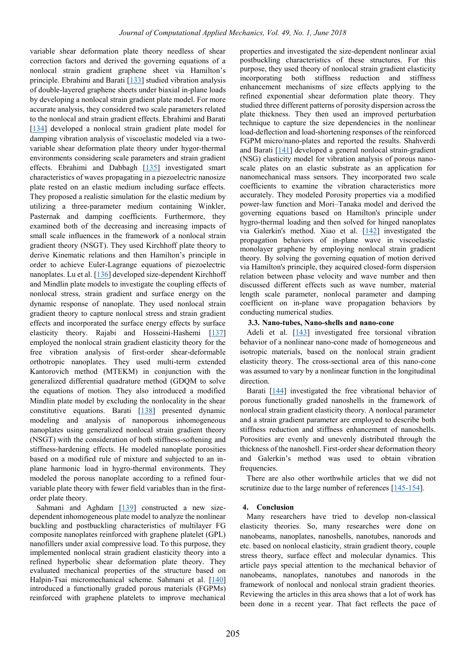variable shear deformation plate theory needless of shear correction factors and derived the governing equations of a nonlocal strain gradient graphene sheet via Hamilton's principle. Ebrahimi and Barati [\[133\]](#page-13-22) studied vibration analysis of double-layered graphene sheets under biaxial in-plane loads by developing a nonlocal strain gradient plate model. For more accurate analysis, they considered two scale parameters related to the nonlocal and strain gradient effects. Ebrahimi and Barati [\[134\]](#page-13-23) developed a nonlocal strain gradient plate model for damping vibration analysis of viscoelastic modeled via a twovariable shear deformation plate theory under hygor-thermal environments considering scale parameters and strain gradient effects. Ebrahimi and Dabbagh [\[135\]](#page-13-24) investigated smart characteristics of waves propagating in a piezoelectric nanosize plate rested on an elastic medium including surface effects. They proposed a realistic simulation for the elastic medium by utilizing a three-parameter medium containing Winkler, Pasternak and damping coefficients. Furthermore, they examined both of the decreasing and increasing impacts of small scale influences in the framework of a nonlocal strain gradient theory (NSGT). They used Kirchhoff plate theory to derive Kinematic relations and then Hamilton's principle in order to achieve Euler-Lagrange equations of piezoelectric nanoplates. Lu et al. [\[136\]](#page-13-25) developed size-dependent Kirchhoff and Mindlin plate models to investigate the coupling effects of nonlocal stress, strain gradient and surface energy on the dynamic response of nanoplate. They used nonlocal strain gradient theory to capture nonlocal stress and strain gradient effects and incorporated the surface energy effects by surface elasticity theory. Rajabi and Hosseini-Hashemi [\[137\]](#page-13-26) employed the nonlocal strain gradient elasticity theory for the free vibration analysis of first-order shear-deformable orthotropic nanoplates. They used multi-term extended Kantorovich method (MTEKM) in conjunction with the generalized differential quadrature method (GDQM to solve the equations of motion. They also introduced a modified Mindlin plate model by excluding the nonlocality in the shear constitutive equations. Barati [\[138\]](#page-13-27) presented dynamic modeling and analysis of nanoporous inhomogeneous nanoplates using generalized nonlocal strain gradient theory (NSGT) with the consideration of both stiffness-softening and stiffness-hardening effects. He modeled nanoplate porosities based on a modified rule of mixture and subjected to an inplane harmonic load in hygro-thermal environments. They modeled the porous nanoplate according to a refined fourvariable plate theory with fewer field variables than in the firstorder plate theory.

Sahmani and Aghdam [\[139\]](#page-13-28) constructed a new sizedependent inhomogeneous plate model to analyze the nonlinear buckling and postbuckling characteristics of multilayer FG composite nanoplates reinforced with graphene platelet (GPL) nanofillers under axial compressive load. To this purpose, they implemented nonlocal strain gradient elasticity theory into a refined hyperbolic shear deformation plate theory. They evaluated mechanical properties of the structure based on Halpin-Tsai micromechanical scheme. Sahmani et al. [\[140\]](#page-14-0) introduced a functionally graded porous materials (FGPMs) reinforced with graphene platelets to improve mechanical

properties and investigated the size-dependent nonlinear axial postbuckling characteristics of these structures. For this purpose, they used theory of nonlocal strain gradient elasticity incorporating both stiffness reduction and stiffness enhancement mechanisms of size effects applying to the refined exponential shear deformation plate theory. They studied three different patterns of porosity dispersion across the plate thickness. They then used an improved perturbation technique to capture the size dependencies in the nonlinear load-deflection and load-shortening responses of the reinforced FGPM micro/nano-plates and reported the results. Shahverdi and Barati [\[141\]](#page-14-1) developed a general nonlocal strain-gradient (NSG) elasticity model for vibration analysis of porous nanoscale plates on an elastic substrate as an application for nanomechanical mass sensors. They incorporated two scale coefficients to examine the vibration characteristics more accurately. They modeled Porosity properties via a modified power-law function and Mori–Tanaka model and derived the governing equations based on Hamilton's principle under hygro-thermal loading and then solved for hinged nanoplates via Galerkin's method. Xiao et al. [\[142\]](#page-14-2) investigated the propagation behaviors of in-plane wave in viscoelastic monolayer graphene by employing nonlocal strain gradient theory. By solving the governing equation of motion derived via Hamilton's principle, they acquired closed-form dispersion relation between phase velocity and wave number and then discussed different effects such as wave number, material length scale parameter, nonlocal parameter and damping coefficient on in-plane wave propagation behaviors by conducting numerical studies.

#### **3.3. Nano-tubes, Nano-shells and nano-cone**

Adeli et al.  $[143]$  investigated free torsional vibration behavior of a nonlinear nano-cone made of homogeneous and isotropic materials, based on the nonlocal strain gradient elasticity theory. The cross-sectional area of this nano-cone was assumed to vary by a nonlinear function in the longitudinal direction.

Barati [\[144\]](#page-14-4) investigated the free vibrational behavior of porous functionally graded nanoshells in the framework of nonlocal strain gradient elasticity theory. A nonlocal parameter and a strain gradient parameter are employed to describe both stiffness reduction and stiffness enhancement of nanoshells. Porosities are evenly and unevenly distributed through the thickness of the nanoshell. First-order shear deformation theory and Galerkin's method was used to obtain vibration frequencies.

There are also other worthwhile articles that we did not scrutinize due to the large number of references [\[145-154\]](#page-14-5).

#### **4. Conclusion**

Many researchers have tried to develop non-classical elasticity theories. So, many researches were done on nanobeams, nanoplates, nanoshells, nanotubes, nanorods and etc. based on nonlocal elasticity, strain gradient theory, couple stress theory, surface effect and molecular dynamics. This article pays special attention to the mechanical behavior of nanobeams, nanoplates, nanotubes and nanorods in the framework of nonlocal and nonlocal strain gradient theories. Reviewing the articles in this area shows that a lot of work has been done in a recent year. That fact reflects the pace of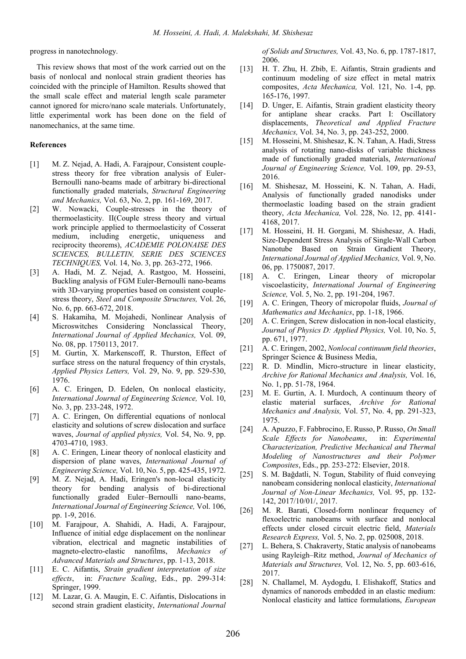progress in nanotechnology.

This review shows that most of the work carried out on the basis of nonlocal and nonlocal strain gradient theories has coincided with the principle of Hamilton. Results showed that the small scale effect and material length scale parameter cannot ignored for micro/nano scale materials. Unfortunately, little experimental work has been done on the field of nanomechanics, at the same time.

#### **References**

- <span id="page-9-0"></span>[1] M. Z. Nejad, A. Hadi, A. Farajpour, Consistent couplestress theory for free vibration analysis of Euler-Bernoulli nano-beams made of arbitrary bi-directional functionally graded materials, *Structural Engineering and Mechanics,* Vol. 63, No. 2, pp. 161-169, 2017.
- [2] W. Nowacki, Couple-stresses in the theory of thermoelasticity. II(Couple stress theory and virtual work principle applied to thermoelasticity of Cosserat medium, including energetic, uniqueness and reciprocity theorems), *ACADEMIE POLONAISE DES SCIENCES, BULLETIN, SERIE DES SCIENCES TECHNIQUES,* Vol. 14, No. 3, pp. 263-272, 1966.
- [3] A. Hadi, M. Z. Nejad, A. Rastgoo, M. Hosseini, Buckling analysis of FGM Euler-Bernoulli nano-beams with 3D-varying properties based on consistent couplestress theory, *Steel and Composite Structures,* Vol. 26, No. 6, pp. 663-672, 2018.
- [4] S. Hakamiha, M. Mojahedi, Nonlinear Analysis of Microswitches Considering Nonclassical Theory, *International Journal of Applied Mechanics,* Vol. 09, No. 08, pp. 1750113, 2017.
- <span id="page-9-1"></span>[5] M. Gurtin, X. Markenscoff, R. Thurston, Effect of surface stress on the natural frequency of thin crystals, *Applied Physics Letters,* Vol. 29, No. 9, pp. 529-530, 1976.
- <span id="page-9-2"></span>[6] A. C. Eringen, D. Edelen, On nonlocal elasticity, *International Journal of Engineering Science,* Vol. 10, No. 3, pp. 233-248, 1972.
- [7] A. C. Eringen, On differential equations of nonlocal elasticity and solutions of screw dislocation and surface waves, *Journal of applied physics,* Vol. 54, No. 9, pp. 4703-4710, 1983.
- [8] A. C. Eringen, Linear theory of nonlocal elasticity and dispersion of plane waves, *International Journal of Engineering Science,* Vol. 10, No. 5, pp. 425-435, 1972.
- <span id="page-9-15"></span>[9] M. Z. Nejad, A. Hadi, Eringen's non-local elasticity theory for bending analysis of bi-directional functionally graded Euler–Bernoulli nano-beams, *International Journal of Engineering Science,* Vol. 106, pp. 1-9, 2016.
- [10] M. Farajpour, A. Shahidi, A. Hadi, A. Farajpour, Influence of initial edge displacement on the nonlinear vibration, electrical and magnetic instabilities of magneto-electro-elastic nanofilms, *Mechanics of Advanced Materials and Structures*, pp. 1-13, 2018.
- <span id="page-9-3"></span>[11] E. C. Aifantis, *Strain gradient interpretation of size effects*, in: *Fracture Scaling*, Eds., pp. 299-314: Springer, 1999.
- [12] M. Lazar, G. A. Maugin, E. C. Aifantis, Dislocations in second strain gradient elasticity, *International Journal*

*of Solids and Structures,* Vol. 43, No. 6, pp. 1787-1817, 2006.

- [13] H. T. Zhu, H. Zbib, E. Aifantis, Strain gradients and continuum modeling of size effect in metal matrix composites, *Acta Mechanica,* Vol. 121, No. 1-4, pp. 165-176, 1997.
- [14] D. Unger, E. Aifantis, Strain gradient elasticity theory for antiplane shear cracks. Part I: Oscillatory displacements, *Theoretical and Applied Fracture Mechanics,* Vol. 34, No. 3, pp. 243-252, 2000.
- [15] M. Hosseini, M. Shishesaz, K. N. Tahan, A. Hadi, Stress analysis of rotating nano-disks of variable thickness made of functionally graded materials, *International Journal of Engineering Science,* Vol. 109, pp. 29-53, 2016.
- [16] M. Shishesaz, M. Hosseini, K. N. Tahan, A. Hadi, Analysis of functionally graded nanodisks under thermoelastic loading based on the strain gradient theory, *Acta Mechanica,* Vol. 228, No. 12, pp. 4141- 4168, 2017.
- [17] M. Hosseini, H. H. Gorgani, M. Shishesaz, A. Hadi, Size-Dependent Stress Analysis of Single-Wall Carbon Nanotube Based on Strain Gradient Theory, *International Journal of Applied Mechanics,* Vol. 9, No. 06, pp. 1750087, 2017.
- <span id="page-9-4"></span>[18] A. C. Eringen, Linear theory of micropolar viscoelasticity, *International Journal of Engineering Science,* Vol. 5, No. 2, pp. 191-204, 1967.
- <span id="page-9-5"></span>[19] A. C. Eringen, Theory of micropolar fluids, *Journal of Mathematics and Mechanics*, pp. 1-18, 1966.
- <span id="page-9-6"></span>[20] A. C. Eringen, Screw dislocation in non-local elasticity, *Journal of Physics D: Applied Physics,* Vol. 10, No. 5, pp. 671, 1977.
- <span id="page-9-7"></span>[21] A. C. Eringen, 2002, *Nonlocal continuum field theories*, Springer Science & Business Media,
- <span id="page-9-8"></span>[22] R. D. Mindlin, Micro-structure in linear elasticity, *Archive for Rational Mechanics and Analysis,* Vol. 16, No. 1, pp. 51-78, 1964.
- <span id="page-9-9"></span>[23] M. E. Gurtin, A. I. Murdoch, A continuum theory of elastic material surfaces, *Archive for Rational Mechanics and Analysis,* Vol. 57, No. 4, pp. 291-323, 1975.
- <span id="page-9-10"></span>[24] A. Apuzzo, F. Fabbrocino, E. Russo, P. Russo, *On Small Scale Effects for Nanobeams*, in: *Experimental Characterization, Predictive Mechanical and Thermal Modeling of Nanostructures and their Polymer Composites*, Eds., pp. 253-272: Elsevier, 2018.
- <span id="page-9-11"></span>[25] S. M. Bağdatli, N. Togun, Stability of fluid conveying nanobeam considering nonlocal elasticity, *International Journal of Non-Linear Mechanics,* Vol. 95, pp. 132- 142, 2017/10/01/, 2017.
- <span id="page-9-12"></span>[26] M. R. Barati, Closed-form nonlinear frequency of flexoelectric nanobeams with surface and nonlocal effects under closed circuit electric field, *Materials Research Express,* Vol. 5, No. 2, pp. 025008, 2018.
- <span id="page-9-13"></span>[27] L. Behera, S. Chakraverty, Static analysis of nanobeams using Rayleigh–Ritz method, *Journal of Mechanics of Materials and Structures,* Vol. 12, No. 5, pp. 603-616, 2017.
- <span id="page-9-14"></span>[28] N. Challamel, M. Aydogdu, I. Elishakoff, Statics and dynamics of nanorods embedded in an elastic medium: Nonlocal elasticity and lattice formulations, *European*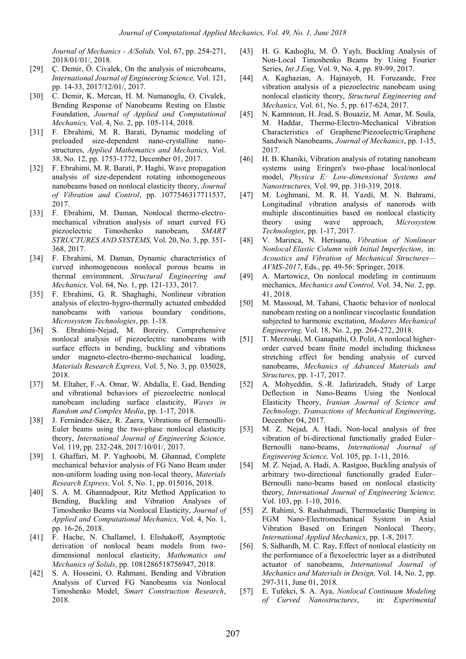*Journal of Mechanics - A/Solids,* Vol. 67, pp. 254-271, 2018/01/01/, 2018.

- <span id="page-10-0"></span>[29] C. Demir, Ö. Civalek, On the analysis of microbeams, *International Journal of Engineering Science,* Vol. 121, pp. 14-33, 2017/12/01/, 2017.
- <span id="page-10-1"></span>[30] C. Demir, K. Mercan, H. M. Numanoglu, O. Civalek, Bending Response of Nanobeams Resting on Elastic Foundation, *Journal of Applied and Computational Mechanics,* Vol. 4, No. 2, pp. 105-114, 2018.
- <span id="page-10-2"></span>[31] F. Ebrahimi, M. R. Barati, Dynamic modeling of preloaded size-dependent nano-crystalline nanostructures, *Applied Mathematics and Mechanics,* Vol. 38, No. 12, pp. 1753-1772, December 01, 2017.
- <span id="page-10-3"></span>[32] F. Ebrahimi, M. R. Barati, P. Haghi, Wave propagation analysis of size-dependent rotating inhomogeneous nanobeams based on nonlocal elasticity theory, *Journal of Vibration and Control*, pp. 1077546317711537, 2017.
- <span id="page-10-4"></span>[33] F. Ebrahimi, M. Daman, Nonlocal thermo-electromechanical vibration analysis of smart curved FG piezoelectric Timoshenko nanobeam, *SMART STRUCTURES AND SYSTEMS,* Vol. 20, No. 3, pp. 351- 368, 2017.
- <span id="page-10-5"></span>[34] F. Ebrahimi, M. Daman, Dynamic characteristics of curved inhomogeneous nonlocal porous beams in thermal environment, *Structural Engineering and Mechanics,* Vol. 64, No. 1, pp. 121-133, 2017.
- <span id="page-10-6"></span>[35] F. Ebrahimi, G. R. Shaghaghi, Nonlinear vibration analysis of electro-hygro-thermally actuated embedded nanobeams with various boundary conditions, *Microsystem Technologies*, pp. 1-18.
- <span id="page-10-7"></span>[36] S. Ebrahimi-Nejad, M. Boreiry, Comprehensive nonlocal analysis of piezoelectric nanobeams with surface effects in bending, buckling and vibrations under magneto-electro-thermo-mechanical loading, *Materials Research Express,* Vol. 5, No. 3, pp. 035028, 2018.
- <span id="page-10-8"></span>[37] M. Eltaher, F.-A. Omar, W. Abdalla, E. Gad, Bending and vibrational behaviors of piezoelectric nonlocal nanobeam including surface elasticity, *Waves in Random and Complex Media*, pp. 1-17, 2018.
- <span id="page-10-9"></span>[38] J. Fernández-Sáez, R. Zaera, Vibrations of Bernoulli-Euler beams using the two-phase nonlocal elasticity theory, *International Journal of Engineering Science,* Vol. 119, pp. 232-248, 2017/10/01/, 2017.
- <span id="page-10-10"></span>[39] I. Ghaffari, M. P. Yaghoobi, M. Ghannad, Complete mechanical behavior analysis of FG Nano Beam under non-uniform loading using non-local theory, *Materials Research Express,* Vol. 5, No. 1, pp. 015016, 2018.
- <span id="page-10-11"></span>[40] S. A. M. Ghannadpour, Ritz Method Application to Bending, Buckling and Vibration Analyses of Timoshenko Beams via Nonlocal Elasticity, *Journal of Applied and Computational Mechanics,* Vol. 4, No. 1, pp. 16-26, 2018.
- <span id="page-10-12"></span>[41] F. Hache, N. Challamel, I. Elishakoff, Asymptotic derivation of nonlocal beam models from twodimensional nonlocal elasticity, *Mathematics and Mechanics of Solids*, pp. 1081286518756947, 2018.
- <span id="page-10-13"></span>[42] S. A. Hosseini, O. Rahmani, Bending and Vibration Analysis of Curved FG Nanobeams via Nonlocal Timoshenko Model, *Smart Construction Research*, 2018.
- <span id="page-10-14"></span>[43] H. G. Kadıoğlu, M. Ö. Yaylı, Buckling Analysis of Non-Local Timoshenko Beams by Using Fourier Series, *Int J Eng,* Vol. 9, No. 4, pp. 89-99, 2017.
- <span id="page-10-15"></span>[44] A. Kaghazian, A. Hajnayeb, H. Foruzande, Free vibration analysis of a piezoelectric nanobeam using nonlocal elasticity theory, *Structural Engineering and Mechanics,* Vol. 61, No. 5, pp. 617-624, 2017.
- <span id="page-10-16"></span>[45] N. Kammoun, H. Jrad, S. Bouaziz, M. Amar, M. Soula, M. Haddar, Thermo-Electro-Mechanical Vibration Characteristics of Graphene/Piezoelectric/Graphene Sandwich Nanobeams, *Journal of Mechanics*, pp. 1-15, 2017.
- <span id="page-10-17"></span>[46] H. B. Khaniki, Vibration analysis of rotating nanobeam systems using Eringen's two-phase local/nonlocal model, *Physica E: Low-dimensional Systems and Nanostructures,* Vol. 99, pp. 310-319, 2018.
- <span id="page-10-18"></span>[47] M. Loghmani, M. R. H. Yazdi, M. N. Bahrami, Longitudinal vibration analysis of nanorods with multiple discontinuities based on nonlocal elasticity theory using wave approach, *Microsystem Technologies*, pp. 1-17, 2017.
- <span id="page-10-19"></span>[48] V. Marinca, N. Herisanu, *Vibration of Nonlinear Nonlocal Elastic Column with Initial Imperfection*, in: *Acoustics and Vibration of Mechanical Structures— AVMS-2017*, Eds., pp. 49-56: Springer, 2018.
- <span id="page-10-20"></span>[49] A. Martowicz, On nonlocal modeling in continuum mechanics, *Mechanics and Control,* Vol. 34, No. 2, pp. 41, 2018.
- <span id="page-10-21"></span>[50] M. Massoud, M. Tahani, Chaotic behavior of nonlocal nanobeam resting on a nonlinear viscoelastic foundation subjected to harmonic excitation, *Modares Mechanical Engineering,* Vol. 18, No. 2, pp. 264-272, 2018.
- <span id="page-10-22"></span>[51] T. Merzouki, M. Ganapathi, O. Polit, A nonlocal higherorder curved beam finite model including thickness stretching effect for bending analysis of curved nanobeams, *Mechanics of Advanced Materials and Structures*, pp. 1-17, 2017.
- <span id="page-10-23"></span>[52] A. Mohyeddin, S.-R. Jafarizadeh, Study of Large Deflection in Nano-Beams Using the Nonlocal Elasticity Theory, *Iranian Journal of Science and Technology, Transactions of Mechanical Engineering*, December 04, 2017.
- <span id="page-10-24"></span>[53] M. Z. Nejad, A. Hadi, Non-local analysis of free vibration of bi-directional functionally graded Euler– Bernoulli nano-beams, *International Journal of Engineering Science,* Vol. 105, pp. 1-11, 2016.
- <span id="page-10-25"></span>[54] M. Z. Nejad, A. Hadi, A. Rastgoo, Buckling analysis of arbitrary two-directional functionally graded Euler– Bernoulli nano-beams based on nonlocal elasticity theory, *International Journal of Engineering Science,* Vol. 103, pp. 1-10, 2016.
- <span id="page-10-26"></span>[55] Z. Rahimi, S. Rashahmadi, Thermoelastic Damping in FGM Nano-Electromechanical System in Axial Vibration Based on Eringen Nonlocal Theory, *International Applied Mechanics*, pp. 1-8, 2017.
- <span id="page-10-27"></span>[56] S. Sidhardh, M. C. Ray, Effect of nonlocal elasticity on the performance of a flexoelectric layer as a distributed actuator of nanobeams, *International Journal of Mechanics and Materials in Design,* Vol. 14, No. 2, pp. 297-311, June 01, 2018.
- <span id="page-10-28"></span>[57] E. Tufekci, S. A. Aya, *Nonlocal Continuum Modeling of Curved Nanostructures*, in: *Experimental*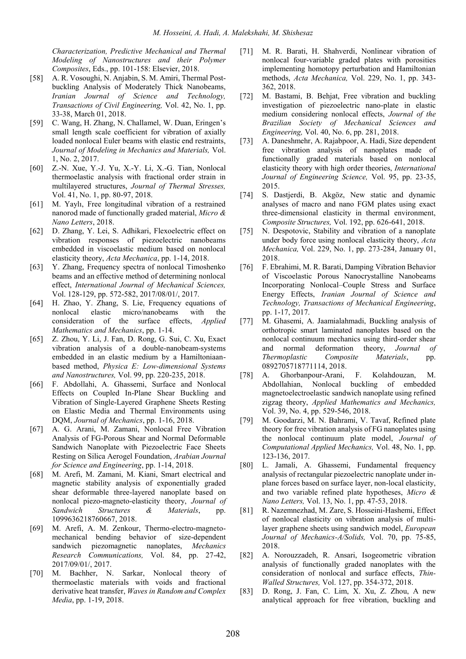*Characterization, Predictive Mechanical and Thermal Modeling of Nanostructures and their Polymer Composites*, Eds., pp. 101-158: Elsevier, 2018.

- <span id="page-11-0"></span>[58] A. R. Vosoughi, N. Anjabin, S. M. Amiri, Thermal Postbuckling Analysis of Moderately Thick Nanobeams, *Iranian Journal of Science and Technology, Transactions of Civil Engineering,* Vol. 42, No. 1, pp. 33-38, March 01, 2018.
- <span id="page-11-1"></span>[59] C. Wang, H. Zhang, N. Challamel, W. Duan, Eringen's small length scale coefficient for vibration of axially loaded nonlocal Euler beams with elastic end restraints, *Journal of Modeling in Mechanics and Materials,* Vol. 1, No. 2, 2017.
- <span id="page-11-2"></span>[60] Z.-N. Xue, Y.-J. Yu, X.-Y. Li, X.-G. Tian, Nonlocal thermoelastic analysis with fractional order strain in multilayered structures, *Journal of Thermal Stresses,* Vol. 41, No. 1, pp. 80-97, 2018.
- <span id="page-11-3"></span>[61] M. Yaylı, Free longitudinal vibration of a restrained nanorod made of functionally graded material, *Micro & Nano Letters*, 2018.
- <span id="page-11-4"></span>[62] D. Zhang, Y. Lei, S. Adhikari, Flexoelectric effect on vibration responses of piezoelectric nanobeams embedded in viscoelastic medium based on nonlocal elasticity theory, *Acta Mechanica*, pp. 1-14, 2018.
- <span id="page-11-5"></span>[63] Y. Zhang, Frequency spectra of nonlocal Timoshenko beams and an effective method of determining nonlocal effect, *International Journal of Mechanical Sciences,* Vol. 128-129, pp. 572-582, 2017/08/01/, 2017.
- <span id="page-11-6"></span>[64] H. Zhao, Y. Zhang, S. Lie, Frequency equations of nonlocal elastic micro/nanobeams with the consideration of the surface effects, *Applied Mathematics and Mechanics*, pp. 1-14.
- <span id="page-11-7"></span>[65] Z. Zhou, Y. Li, J. Fan, D. Rong, G. Sui, C. Xu, Exact vibration analysis of a double-nanobeam-systems embedded in an elastic medium by a Hamiltoniaanbased method, *Physica E: Low-dimensional Systems and Nanostructures,* Vol. 99, pp. 220-235, 2018.
- <span id="page-11-8"></span>[66] F. Abdollahi, A. Ghassemi, Surface and Nonlocal Effects on Coupled In-Plane Shear Buckling and Vibration of Single-Layered Graphene Sheets Resting on Elastic Media and Thermal Environments using DQM, *Journal of Mechanics*, pp. 1-16, 2018.
- <span id="page-11-9"></span>[67] A. G. Arani, M. Zamani, Nonlocal Free Vibration Analysis of FG-Porous Shear and Normal Deformable Sandwich Nanoplate with Piezoelectric Face Sheets Resting on Silica Aerogel Foundation, *Arabian Journal for Science and Engineering*, pp. 1-14, 2018.
- <span id="page-11-10"></span>[68] M. Arefi, M. Zamani, M. Kiani, Smart electrical and magnetic stability analysis of exponentially graded shear deformable three-layered nanoplate based on nonlocal piezo-magneto-elasticity theory, *Journal of Sandwich Structures & Materials*, pp. 1099636218760667, 2018.
- <span id="page-11-11"></span>[69] M. Arefi, A. M. Zenkour, Thermo-electro-magnetomechanical bending behavior of size-dependent sandwich piezomagnetic nanoplates, *Mechanics Research Communications,* Vol. 84, pp. 27-42, 2017/09/01/, 2017.
- <span id="page-11-12"></span>[70] M. Bachher, N. Sarkar, Nonlocal theory of thermoelastic materials with voids and fractional derivative heat transfer, *Waves in Random and Complex Media*, pp. 1-19, 2018.
- <span id="page-11-13"></span>[71] M. R. Barati, H. Shahverdi, Nonlinear vibration of nonlocal four-variable graded plates with porosities implementing homotopy perturbation and Hamiltonian methods, *Acta Mechanica,* Vol. 229, No. 1, pp. 343- 362, 2018.
- <span id="page-11-14"></span>[72] M. Bastami, B. Behjat, Free vibration and buckling investigation of piezoelectric nano-plate in elastic medium considering nonlocal effects, *Journal of the Brazilian Society of Mechanical Sciences and Engineering,* Vol. 40, No. 6, pp. 281, 2018.
- <span id="page-11-15"></span>[73] A. Daneshmehr, A. Rajabpoor, A. Hadi, Size dependent free vibration analysis of nanoplates made of functionally graded materials based on nonlocal elasticity theory with high order theories, *International Journal of Engineering Science,* Vol. 95, pp. 23-35, 2015.
- <span id="page-11-16"></span>[74] S. Dastjerdi, B. Akgöz, New static and dynamic analyses of macro and nano FGM plates using exact three-dimensional elasticity in thermal environment, *Composite Structures,* Vol. 192, pp. 626-641, 2018.
- <span id="page-11-17"></span>[75] N. Despotovic, Stability and vibration of a nanoplate under body force using nonlocal elasticity theory, *Acta Mechanica,* Vol. 229, No. 1, pp. 273-284, January 01, 2018.
- <span id="page-11-18"></span>[76] F. Ebrahimi, M. R. Barati, Damping Vibration Behavior of Viscoelastic Porous Nanocrystalline Nanobeams Incorporating Nonlocal–Couple Stress and Surface Energy Effects, *Iranian Journal of Science and Technology, Transactions of Mechanical Engineering*, pp. 1-17, 2017.
- <span id="page-11-19"></span>[77] M. Ghasemi, A. Jaamialahmadi, Buckling analysis of orthotropic smart laminated nanoplates based on the nonlocal continuum mechanics using third-order shear and normal deformation theory, *Journal of Thermoplastic Composite Materials*, pp. 0892705718771114, 2018.
- <span id="page-11-20"></span>[78] A. Ghorbanpour-Arani, F. Kolahdouzan, M. Abdollahian, Nonlocal buckling of embedded magnetoelectroelastic sandwich nanoplate using refined zigzag theory, *Applied Mathematics and Mechanics,* Vol. 39, No. 4, pp. 529-546, 2018.
- <span id="page-11-21"></span>[79] M. Goodarzi, M. N. Bahrami, V. Tavaf, Refined plate theory for free vibration analysis of FG nanoplates using the nonlocal continuum plate model, *Journal of Computational Applied Mechanics,* Vol. 48, No. 1, pp. 123-136, 2017.
- <span id="page-11-22"></span>[80] L. Jamali, A. Ghassemi, Fundamental frequency analysis of rectangular piezoelectric nanoplate under inplane forces based on surface layer, non-local elasticity, and two variable refined plate hypotheses, *Micro & Nano Letters,* Vol. 13, No. 1, pp. 47-53, 2018.
- <span id="page-11-23"></span>[81] R. Nazemnezhad, M. Zare, S. Hosseini-Hashemi, Effect of nonlocal elasticity on vibration analysis of multilayer graphene sheets using sandwich model, *European Journal of Mechanics-A/Solids,* Vol. 70, pp. 75-85, 2018.
- <span id="page-11-24"></span>[82] A. Norouzzadeh, R. Ansari, Isogeometric vibration analysis of functionally graded nanoplates with the consideration of nonlocal and surface effects, *Thin-Walled Structures,* Vol. 127, pp. 354-372, 2018.
- <span id="page-11-25"></span>[83] D. Rong, J. Fan, C. Lim, X. Xu, Z. Zhou, A new analytical approach for free vibration, buckling and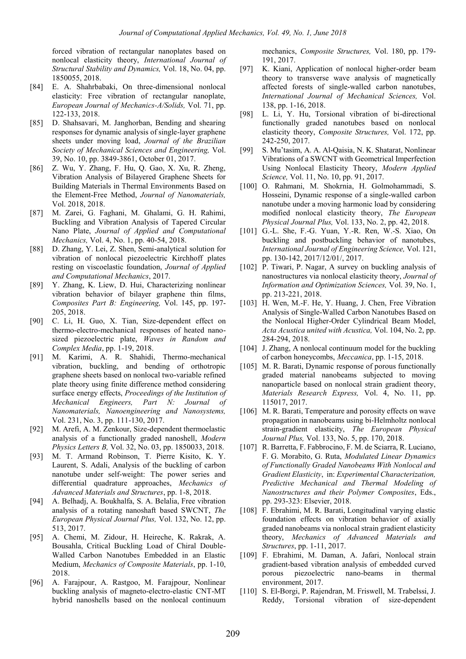forced vibration of rectangular nanoplates based on nonlocal elasticity theory, *International Journal of Structural Stability and Dynamics,* Vol. 18, No. 04, pp. 1850055, 2018.

- <span id="page-12-0"></span>[84] E. A. Shahrbabaki, On three-dimensional nonlocal elasticity: Free vibration of rectangular nanoplate, *European Journal of Mechanics-A/Solids,* Vol. 71, pp. 122-133, 2018.
- <span id="page-12-1"></span>[85] D. Shahsavari, M. Janghorban, Bending and shearing responses for dynamic analysis of single-layer graphene sheets under moving load, *Journal of the Brazilian Society of Mechanical Sciences and Engineering,* Vol. 39, No. 10, pp. 3849-3861, October 01, 2017.
- <span id="page-12-2"></span>[86] Z. Wu, Y. Zhang, F. Hu, Q. Gao, X. Xu, R. Zheng, Vibration Analysis of Bilayered Graphene Sheets for Building Materials in Thermal Environments Based on the Element-Free Method, *Journal of Nanomaterials,* Vol. 2018, 2018.
- <span id="page-12-3"></span>[87] M. Zarei, G. Faghani, M. Ghalami, G. H. Rahimi, Buckling and Vibration Analysis of Tapered Circular Nano Plate, *Journal of Applied and Computational Mechanics,* Vol. 4, No. 1, pp. 40-54, 2018.
- <span id="page-12-4"></span>[88] D. Zhang, Y. Lei, Z. Shen, Semi-analytical solution for vibration of nonlocal piezoelectric Kirchhoff plates resting on viscoelastic foundation, *Journal of Applied and Computational Mechanics*, 2017.
- <span id="page-12-5"></span>[89] Y. Zhang, K. Liew, D. Hui, Characterizing nonlinear vibration behavior of bilayer graphene thin films, *Composites Part B: Engineering,* Vol. 145, pp. 197- 205, 2018.
- <span id="page-12-6"></span>[90] C. Li, H. Guo, X. Tian, Size-dependent effect on thermo-electro-mechanical responses of heated nanosized piezoelectric plate, *Waves in Random and Complex Media*, pp. 1-19, 2018.
- <span id="page-12-7"></span>[91] M. Karimi, A. R. Shahidi, Thermo-mechanical vibration, buckling, and bending of orthotropic graphene sheets based on nonlocal two-variable refined plate theory using finite difference method considering surface energy effects, *Proceedings of the Institution of Mechanical Engineers, Part N: Journal of Nanomaterials, Nanoengineering and Nanosystems,* Vol. 231, No. 3, pp. 111-130, 2017.
- <span id="page-12-8"></span>[92] M. Arefi, A. M. Zenkour, Size-dependent thermoelastic analysis of a functionally graded nanoshell, *Modern Physics Letters B,* Vol. 32, No. 03, pp. 1850033, 2018.
- <span id="page-12-9"></span>[93] M. T. Armand Robinson, T. Pierre Kisito, K. Y. Laurent, S. Adali, Analysis of the buckling of carbon nanotube under self-weight: The power series and differential quadrature approaches, *Mechanics of Advanced Materials and Structures*, pp. 1-8, 2018.
- <span id="page-12-10"></span>[94] A. Belhadj, A. Boukhalfa, S. A. Belalia, Free vibration analysis of a rotating nanoshaft based SWCNT, *The European Physical Journal Plus,* Vol. 132, No. 12, pp. 513, 2017.
- <span id="page-12-11"></span>[95] A. Chemi, M. Zidour, H. Heireche, K. Rakrak, A. Bousahla, Critical Buckling Load of Chiral Double-Walled Carbon Nanotubes Embedded in an Elastic Medium, *Mechanics of Composite Materials*, pp. 1-10, 2018.
- <span id="page-12-12"></span>[96] A. Farajpour, A. Rastgoo, M. Farajpour, Nonlinear buckling analysis of magneto-electro-elastic CNT-MT hybrid nanoshells based on the nonlocal continuum

mechanics, *Composite Structures,* Vol. 180, pp. 179- 191, 2017.

- <span id="page-12-13"></span>[97] K. Kiani, Application of nonlocal higher-order beam theory to transverse wave analysis of magnetically affected forests of single-walled carbon nanotubes, *International Journal of Mechanical Sciences,* Vol. 138, pp. 1-16, 2018.
- <span id="page-12-14"></span>[98] L. Li, Y. Hu, Torsional vibration of bi-directional functionally graded nanotubes based on nonlocal elasticity theory, *Composite Structures,* Vol. 172, pp. 242-250, 2017.
- <span id="page-12-15"></span>[99] S. Mu'tasim, A. A. Al-Qaisia, N. K. Shatarat, Nonlinear Vibrations of a SWCNT with Geometrical Imperfection Using Nonlocal Elasticity Theory, *Modern Applied Science,* Vol. 11, No. 10, pp. 91, 2017.
- <span id="page-12-16"></span>[100] O. Rahmani, M. Shokrnia, H. Golmohammadi, S. Hosseini, Dynamic response of a single-walled carbon nanotube under a moving harmonic load by considering modified nonlocal elasticity theory, *The European Physical Journal Plus,* Vol. 133, No. 2, pp. 42, 2018.
- <span id="page-12-17"></span>[101] G.-L. She, F.-G. Yuan, Y.-R. Ren, W.-S. Xiao, On buckling and postbuckling behavior of nanotubes, *International Journal of Engineering Science,* Vol. 121, pp. 130-142, 2017/12/01/, 2017.
- <span id="page-12-18"></span>[102] P. Tiwari, P. Nagar, A survey on buckling analysis of nanostructures via nonlocal elasticity theory, *Journal of Information and Optimization Sciences,* Vol. 39, No. 1, pp. 213-221, 2018.
- <span id="page-12-19"></span>[103] H. Wen, M.-F. He, Y. Huang, J. Chen, Free Vibration Analysis of Single-Walled Carbon Nanotubes Based on the Nonlocal Higher-Order Cylindrical Beam Model, *Acta Acustica united with Acustica,* Vol. 104, No. 2, pp. 284-294, 2018.
- <span id="page-12-20"></span>[104] J. Zhang, A nonlocal continuum model for the buckling of carbon honeycombs, *Meccanica*, pp. 1-15, 2018.
- <span id="page-12-21"></span>[105] M. R. Barati, Dynamic response of porous functionally graded material nanobeams subjected to moving nanoparticle based on nonlocal strain gradient theory, *Materials Research Express,* Vol. 4, No. 11, pp. 115017, 2017.
- <span id="page-12-22"></span>[106] M. R. Barati, Temperature and porosity effects on wave propagation in nanobeams using bi-Helmholtz nonlocal strain-gradient elasticity, *The European Physical Journal Plus,* Vol. 133, No. 5, pp. 170, 2018.
- <span id="page-12-23"></span>[107] R. Barretta, F. Fabbrocino, F. M. de Sciarra, R. Luciano, F. G. Morabito, G. Ruta, *Modulated Linear Dynamics of Functionally Graded Nanobeams With Nonlocal and Gradient Elasticity*, in: *Experimental Characterization, Predictive Mechanical and Thermal Modeling of Nanostructures and their Polymer Composites*, Eds., pp. 293-323: Elsevier, 2018.
- <span id="page-12-24"></span>[108] F. Ebrahimi, M. R. Barati, Longitudinal varying elastic foundation effects on vibration behavior of axially graded nanobeams via nonlocal strain gradient elasticity theory, *Mechanics of Advanced Materials and Structures*, pp. 1-11, 2017.
- <span id="page-12-25"></span>[109] F. Ebrahimi, M. Daman, A. Jafari, Nonlocal strain gradient-based vibration analysis of embedded curved porous piezoelectric nano-beams in thermal environment, 2017.
- <span id="page-12-26"></span>[110] S. El-Borgi, P. Rajendran, M. Friswell, M. Trabelssi, J. Reddy, Torsional vibration of size-dependent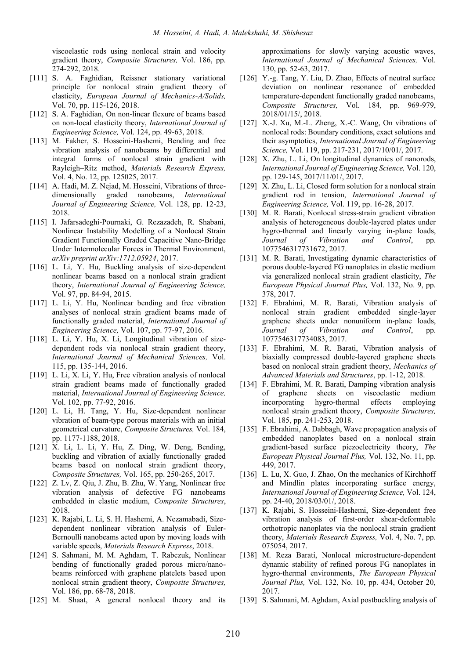viscoelastic rods using nonlocal strain and velocity gradient theory, *Composite Structures,* Vol. 186, pp. 274-292, 2018.

- <span id="page-13-0"></span>[111] S. A. Faghidian, Reissner stationary variational principle for nonlocal strain gradient theory of elasticity, *European Journal of Mechanics-A/Solids,* Vol. 70, pp. 115-126, 2018.
- <span id="page-13-1"></span>[112] S. A. Faghidian, On non-linear flexure of beams based on non-local elasticity theory, *International Journal of Engineering Science,* Vol. 124, pp. 49-63, 2018.
- <span id="page-13-2"></span>[113] M. Fakher, S. Hosseini-Hashemi, Bending and free vibration analysis of nanobeams by differential and integral forms of nonlocal strain gradient with Rayleigh–Ritz method, *Materials Research Express,* Vol. 4, No. 12, pp. 125025, 2017.
- <span id="page-13-3"></span>[114] A. Hadi, M. Z. Nejad, M. Hosseini, Vibrations of threedimensionally graded nanobeams, *International Journal of Engineering Science,* Vol. 128, pp. 12-23, 2018.
- <span id="page-13-4"></span>[115] I. Jafarsadeghi-Pournaki, G. Rezazadeh, R. Shabani, Nonlinear Instability Modelling of a Nonlocal Strain Gradient Functionally Graded Capacitive Nano-Bridge Under Intermolecular Forces in Thermal Environment, *arXiv preprint arXiv:1712.05924*, 2017.
- <span id="page-13-5"></span>[116] L. Li, Y. Hu, Buckling analysis of size-dependent nonlinear beams based on a nonlocal strain gradient theory, *International Journal of Engineering Science,* Vol. 97, pp. 84-94, 2015.
- <span id="page-13-6"></span>[117] L. Li, Y. Hu, Nonlinear bending and free vibration analyses of nonlocal strain gradient beams made of functionally graded material, *International Journal of Engineering Science,* Vol. 107, pp. 77-97, 2016.
- <span id="page-13-7"></span>[118] L. Li, Y. Hu, X. Li, Longitudinal vibration of sizedependent rods via nonlocal strain gradient theory, *International Journal of Mechanical Sciences,* Vol. 115, pp. 135-144, 2016.
- <span id="page-13-8"></span>[119] L. Li, X. Li, Y. Hu, Free vibration analysis of nonlocal strain gradient beams made of functionally graded material, *International Journal of Engineering Science,* Vol. 102, pp. 77-92, 2016.
- <span id="page-13-9"></span>[120] L. Li, H. Tang, Y. Hu, Size-dependent nonlinear vibration of beam-type porous materials with an initial geometrical curvature, *Composite Structures,* Vol. 184, pp. 1177-1188, 2018.
- <span id="page-13-10"></span>[121] X. Li, L. Li, Y. Hu, Z. Ding, W. Deng, Bending, buckling and vibration of axially functionally graded beams based on nonlocal strain gradient theory, *Composite Structures,* Vol. 165, pp. 250-265, 2017.
- <span id="page-13-11"></span>[122] Z. Lv, Z. Qiu, J. Zhu, B. Zhu, W. Yang, Nonlinear free vibration analysis of defective FG nanobeams embedded in elastic medium, *Composite Structures*, 2018.
- <span id="page-13-12"></span>[123] K. Rajabi, L. Li, S. H. Hashemi, A. Nezamabadi, Sizedependent nonlinear vibration analysis of Euler-Bernoulli nanobeams acted upon by moving loads with variable speeds, *Materials Research Express*, 2018.
- <span id="page-13-13"></span>[124] S. Sahmani, M. M. Aghdam, T. Rabczuk, Nonlinear bending of functionally graded porous micro/nanobeams reinforced with graphene platelets based upon nonlocal strain gradient theory, *Composite Structures,* Vol. 186, pp. 68-78, 2018.
- <span id="page-13-14"></span>[125] M. Shaat, A general nonlocal theory and its

approximations for slowly varying acoustic waves, *International Journal of Mechanical Sciences,* Vol. 130, pp. 52-63, 2017.

- <span id="page-13-15"></span>[126] Y.-g. Tang, Y. Liu, D. Zhao, Effects of neutral surface deviation on nonlinear resonance of embedded temperature-dependent functionally graded nanobeams, *Composite Structures,* Vol. 184, pp. 969-979, 2018/01/15/, 2018.
- <span id="page-13-16"></span>[127] X.-J. Xu, M.-L. Zheng, X.-C. Wang, On vibrations of nonlocal rods: Boundary conditions, exact solutions and their asymptotics, *International Journal of Engineering Science,* Vol. 119, pp. 217-231, 2017/10/01/, 2017.
- <span id="page-13-17"></span>[128] X. Zhu, L. Li, On longitudinal dynamics of nanorods, *International Journal of Engineering Science,* Vol. 120, pp. 129-145, 2017/11/01/, 2017.
- <span id="page-13-18"></span>[129] X. Zhu, L. Li, Closed form solution for a nonlocal strain gradient rod in tension, *International Journal of Engineering Science,* Vol. 119, pp. 16-28, 2017.
- <span id="page-13-19"></span>[130] M. R. Barati, Nonlocal stress-strain gradient vibration analysis of heterogeneous double-layered plates under hygro-thermal and linearly varying in-plane loads, *Journal of Vibration and Control*, pp. 1077546317731672, 2017.
- <span id="page-13-20"></span>[131] M. R. Barati, Investigating dynamic characteristics of porous double-layered FG nanoplates in elastic medium via generalized nonlocal strain gradient elasticity, *The European Physical Journal Plus,* Vol. 132, No. 9, pp. 378, 2017.
- <span id="page-13-21"></span>[132] F. Ebrahimi, M. R. Barati, Vibration analysis of nonlocal strain gradient embedded single-layer graphene sheets under nonuniform in-plane loads, *Journal of Vibration and Control*, pp. 1077546317734083, 2017.
- <span id="page-13-22"></span>[133] F. Ebrahimi, M. R. Barati, Vibration analysis of biaxially compressed double-layered graphene sheets based on nonlocal strain gradient theory, *Mechanics of Advanced Materials and Structures*, pp. 1-12, 2018.
- <span id="page-13-23"></span>[134] F. Ebrahimi, M. R. Barati, Damping vibration analysis of graphene sheets on viscoelastic medium incorporating hygro-thermal effects employing nonlocal strain gradient theory, *Composite Structures,* Vol. 185, pp. 241-253, 2018.
- <span id="page-13-24"></span>[135] F. Ebrahimi, A. Dabbagh, Wave propagation analysis of embedded nanoplates based on a nonlocal strain gradient-based surface piezoelectricity theory, *The European Physical Journal Plus,* Vol. 132, No. 11, pp. 449, 2017.
- <span id="page-13-25"></span>[136] L. Lu, X. Guo, J. Zhao, On the mechanics of Kirchhoff and Mindlin plates incorporating surface energy, *International Journal of Engineering Science,* Vol. 124, pp. 24-40, 2018/03/01/, 2018.
- <span id="page-13-26"></span>[137] K. Rajabi, S. Hosseini-Hashemi, Size-dependent free vibration analysis of first-order shear-deformable orthotropic nanoplates via the nonlocal strain gradient theory, *Materials Research Express,* Vol. 4, No. 7, pp. 075054, 2017.
- <span id="page-13-27"></span>[138] M. Reza Barati, Nonlocal microstructure-dependent dynamic stability of refined porous FG nanoplates in hygro-thermal environments, *The European Physical Journal Plus,* Vol. 132, No. 10, pp. 434, October 20, 2017.
- <span id="page-13-28"></span>[139] S. Sahmani, M. Aghdam, Axial postbuckling analysis of